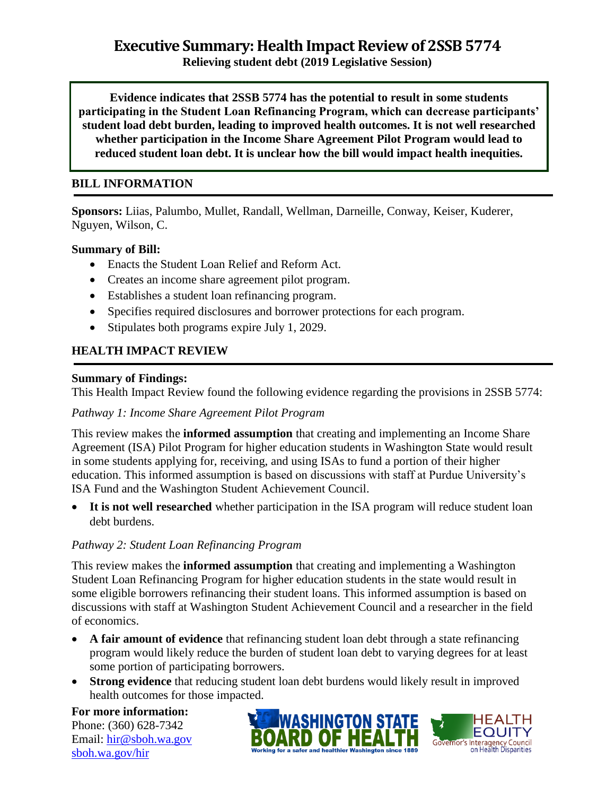# **Executive Summary: Health Impact Review of 2SSB 5774**

**Relieving student debt (2019 Legislative Session)**

**Evidence indicates that 2SSB 5774 has the potential to result in some students participating in the Student Loan Refinancing Program, which can decrease participants' student load debt burden, leading to improved health outcomes. It is not well researched whether participation in the Income Share Agreement Pilot Program would lead to reduced student loan debt. It is unclear how the bill would impact health inequities.**

#### **BILL INFORMATION**

**Sponsors:** Liias, Palumbo, Mullet, Randall, Wellman, Darneille, Conway, Keiser, Kuderer, Nguyen, Wilson, C.

#### **Summary of Bill:**

- Enacts the Student Loan Relief and Reform Act.
- Creates an income share agreement pilot program.
- Establishes a student loan refinancing program.
- Specifies required disclosures and borrower protections for each program.
- Stipulates both programs expire July 1, 2029.

#### **HEALTH IMPACT REVIEW**

#### **Summary of Findings:**

This Health Impact Review found the following evidence regarding the provisions in 2SSB 5774:

#### *Pathway 1: Income Share Agreement Pilot Program*

This review makes the **informed assumption** that creating and implementing an Income Share Agreement (ISA) Pilot Program for higher education students in Washington State would result in some students applying for, receiving, and using ISAs to fund a portion of their higher education. This informed assumption is based on discussions with staff at Purdue University's ISA Fund and the Washington Student Achievement Council.

• It is not well researched whether participation in the ISA program will reduce student loan debt burdens.

#### *Pathway 2: Student Loan Refinancing Program*

This review makes the **informed assumption** that creating and implementing a Washington Student Loan Refinancing Program for higher education students in the state would result in some eligible borrowers refinancing their student loans. This informed assumption is based on discussions with staff at Washington Student Achievement Council and a researcher in the field of economics.

- **A fair amount of evidence** that refinancing student loan debt through a state refinancing program would likely reduce the burden of student loan debt to varying degrees for at least some portion of participating borrowers.
- **Strong evidence** that reducing student loan debt burdens would likely result in improved health outcomes for those impacted.

**For more information:** Phone: (360) 628-7342 Email: [hir@sboh.wa.gov](mailto:hir@sboh.wa.gov) [sboh.wa.gov/](http://sboh.wa.gov/)hir



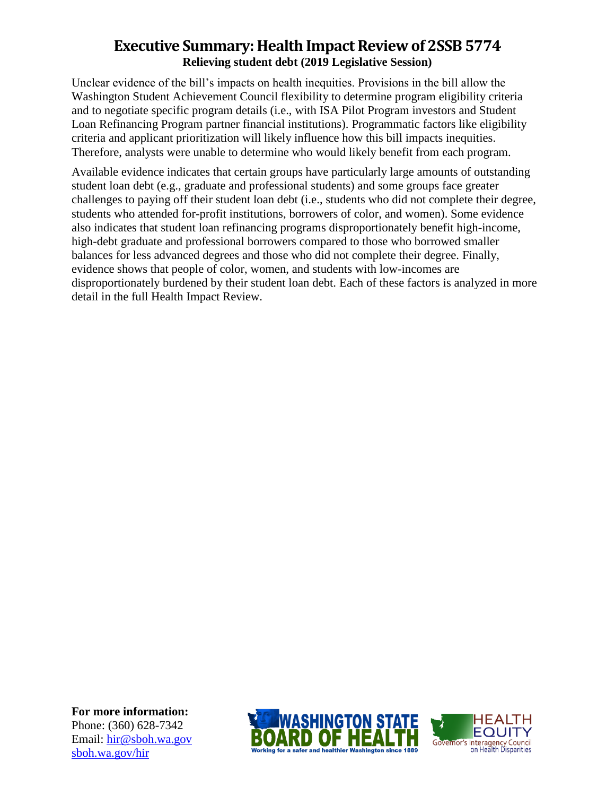## **Executive Summary: Health Impact Review of 2SSB 5774 Relieving student debt (2019 Legislative Session)**

Unclear evidence of the bill's impacts on health inequities. Provisions in the bill allow the Washington Student Achievement Council flexibility to determine program eligibility criteria and to negotiate specific program details (i.e., with ISA Pilot Program investors and Student Loan Refinancing Program partner financial institutions). Programmatic factors like eligibility criteria and applicant prioritization will likely influence how this bill impacts inequities. Therefore, analysts were unable to determine who would likely benefit from each program.

Available evidence indicates that certain groups have particularly large amounts of outstanding student loan debt (e.g., graduate and professional students) and some groups face greater challenges to paying off their student loan debt (i.e., students who did not complete their degree, students who attended for-profit institutions, borrowers of color, and women). Some evidence also indicates that student loan refinancing programs disproportionately benefit high-income, high-debt graduate and professional borrowers compared to those who borrowed smaller balances for less advanced degrees and those who did not complete their degree. Finally, evidence shows that people of color, women, and students with low-incomes are disproportionately burdened by their student loan debt. Each of these factors is analyzed in more detail in the full Health Impact Review.

**For more information:** Phone: (360) 628-7342 Email: [hir@sboh.wa.gov](mailto:hir@sboh.wa.gov) [sboh.wa.gov/](http://sboh.wa.gov/)hir



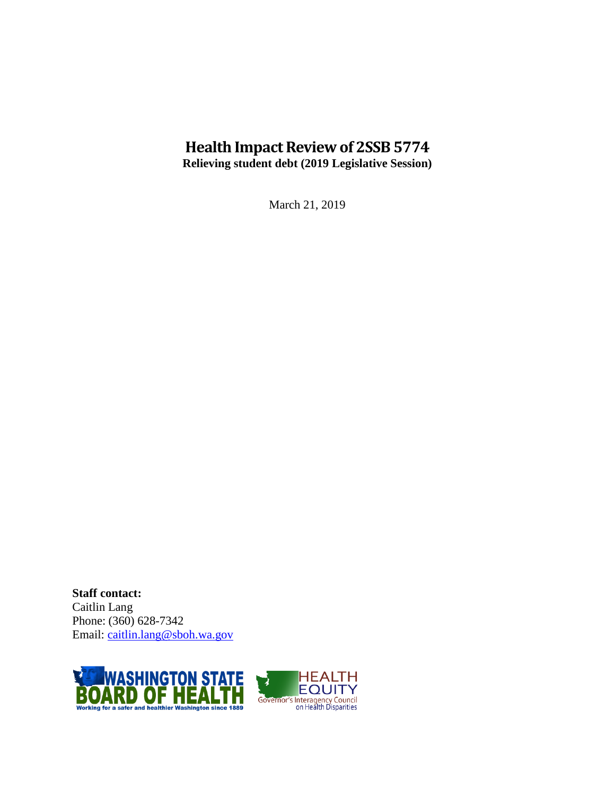## **Health Impact Review of 2SSB 5774 Relieving student debt (2019 Legislative Session)**

March 21, 2019

**Staff contact:** Caitlin Lang Phone: (360) 628-7342 Email: [caitlin.lang@sboh.wa.gov](mailto:caitlin.lang@sboh.wa.gov)

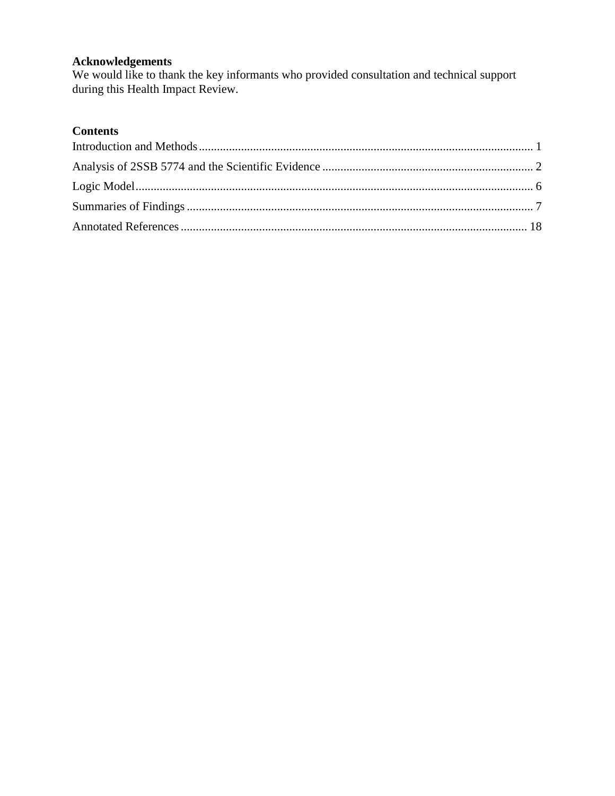#### **Acknowledgements**

We would like to thank the key informants who provided consultation and technical support during this Health Impact Review.

## **Contents**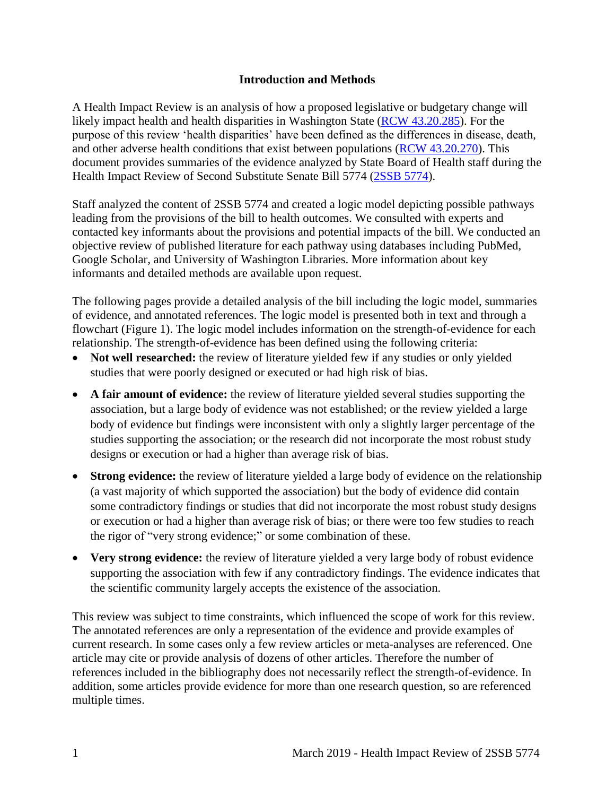#### **Introduction and Methods**

<span id="page-4-0"></span>A Health Impact Review is an analysis of how a proposed legislative or budgetary change will likely impact health and health disparities in Washington State [\(RCW 43.20.285\)](http://apps.leg.wa.gov/rcw/default.aspx?cite=43.20.285). For the purpose of this review 'health disparities' have been defined as the differences in disease, death, and other adverse health conditions that exist between populations [\(RCW 43.20.270\)](http://apps.leg.wa.gov/rcw/default.aspx?cite=43.20.270). This document provides summaries of the evidence analyzed by State Board of Health staff during the Health Impact Review of Second Substitute Senate Bill 5774 [\(2SSB 5774\)](https://app.leg.wa.gov/billsummary?BillNumber=5774&Year=2019&Initiative=false).

Staff analyzed the content of 2SSB 5774 and created a logic model depicting possible pathways leading from the provisions of the bill to health outcomes. We consulted with experts and contacted key informants about the provisions and potential impacts of the bill. We conducted an objective review of published literature for each pathway using databases including PubMed, Google Scholar, and University of Washington Libraries. More information about key informants and detailed methods are available upon request.

The following pages provide a detailed analysis of the bill including the logic model, summaries of evidence, and annotated references. The logic model is presented both in text and through a flowchart (Figure 1). The logic model includes information on the strength-of-evidence for each relationship. The strength-of-evidence has been defined using the following criteria:

- Not well researched: the review of literature yielded few if any studies or only yielded studies that were poorly designed or executed or had high risk of bias.
- **A fair amount of evidence:** the review of literature yielded several studies supporting the association, but a large body of evidence was not established; or the review yielded a large body of evidence but findings were inconsistent with only a slightly larger percentage of the studies supporting the association; or the research did not incorporate the most robust study designs or execution or had a higher than average risk of bias.
- **Strong evidence:** the review of literature yielded a large body of evidence on the relationship (a vast majority of which supported the association) but the body of evidence did contain some contradictory findings or studies that did not incorporate the most robust study designs or execution or had a higher than average risk of bias; or there were too few studies to reach the rigor of "very strong evidence;" or some combination of these.
- Very strong evidence: the review of literature yielded a very large body of robust evidence supporting the association with few if any contradictory findings. The evidence indicates that the scientific community largely accepts the existence of the association.

This review was subject to time constraints, which influenced the scope of work for this review. The annotated references are only a representation of the evidence and provide examples of current research. In some cases only a few review articles or meta-analyses are referenced. One article may cite or provide analysis of dozens of other articles. Therefore the number of references included in the bibliography does not necessarily reflect the strength-of-evidence. In addition, some articles provide evidence for more than one research question, so are referenced multiple times.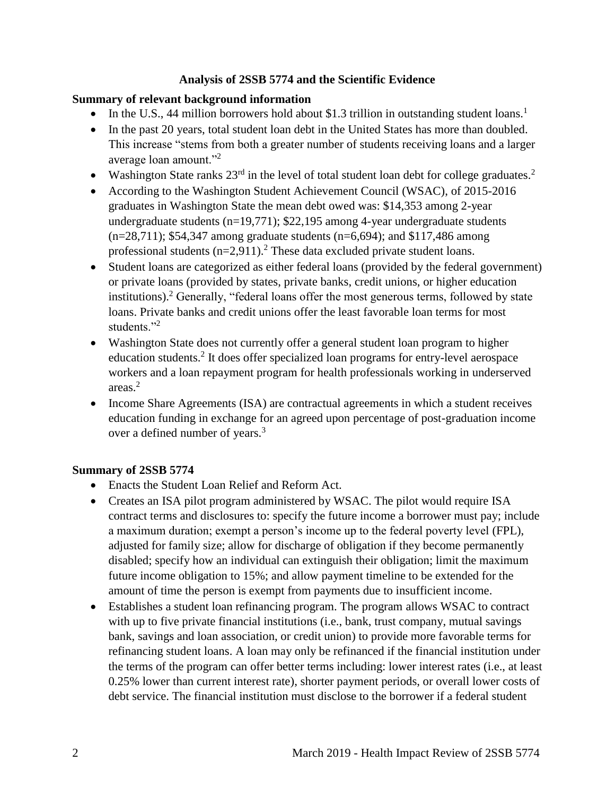#### **Analysis of 2SSB 5774 and the Scientific Evidence**

#### <span id="page-5-0"></span>**Summary of relevant background information**

- $\bullet$  In the U.S., 44 million borrowers hold about \$1.3 trillion in outstanding student loans.<sup>1</sup>
- In the past 20 years, total student loan debt in the United States has more than doubled. This increase "stems from both a greater number of students receiving loans and a larger average loan amount."<sup>2</sup>
- Washington State ranks  $23<sup>rd</sup>$  in the level of total student loan debt for college graduates.<sup>2</sup>
- According to the Washington Student Achievement Council (WSAC), of 2015-2016 graduates in Washington State the mean debt owed was: \$14,353 among 2-year undergraduate students  $(n=19,771)$ ; \$22,195 among 4-year undergraduate students  $(n=28,711)$ ; \$54,347 among graduate students  $(n=6,694)$ ; and \$117,486 among professional students  $(n=2.911)$ .<sup>2</sup> These data excluded private student loans.
- Student loans are categorized as either federal loans (provided by the federal government) or private loans (provided by states, private banks, credit unions, or higher education institutions).<sup>2</sup> Generally, "federal loans offer the most generous terms, followed by state loans. Private banks and credit unions offer the least favorable loan terms for most students."<sup>2</sup>
- Washington State does not currently offer a general student loan program to higher education students.<sup>2</sup> It does offer specialized loan programs for entry-level aerospace workers and a loan repayment program for health professionals working in underserved areas.<sup>2</sup>
- Income Share Agreements (ISA) are contractual agreements in which a student receives education funding in exchange for an agreed upon percentage of post-graduation income over a defined number of years.<sup>3</sup>

#### **Summary of 2SSB 5774**

- Enacts the Student Loan Relief and Reform Act.
- Creates an ISA pilot program administered by WSAC. The pilot would require ISA contract terms and disclosures to: specify the future income a borrower must pay; include a maximum duration; exempt a person's income up to the federal poverty level (FPL), adjusted for family size; allow for discharge of obligation if they become permanently disabled; specify how an individual can extinguish their obligation; limit the maximum future income obligation to 15%; and allow payment timeline to be extended for the amount of time the person is exempt from payments due to insufficient income.
- Establishes a student loan refinancing program. The program allows WSAC to contract with up to five private financial institutions (i.e., bank, trust company, mutual savings bank, savings and loan association, or credit union) to provide more favorable terms for refinancing student loans. A loan may only be refinanced if the financial institution under the terms of the program can offer better terms including: lower interest rates (i.e., at least 0.25% lower than current interest rate), shorter payment periods, or overall lower costs of debt service. The financial institution must disclose to the borrower if a federal student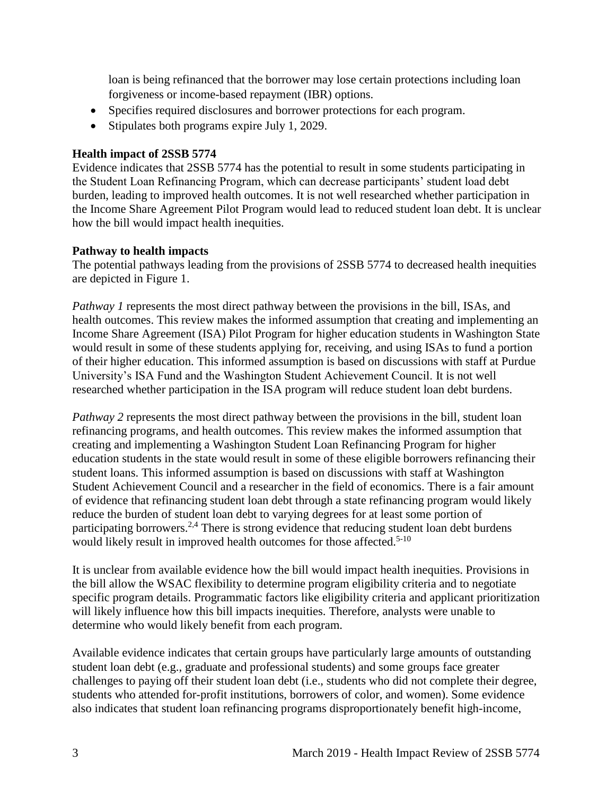loan is being refinanced that the borrower may lose certain protections including loan forgiveness or income-based repayment (IBR) options.

- Specifies required disclosures and borrower protections for each program.
- Stipulates both programs expire July 1, 2029.

#### **Health impact of 2SSB 5774**

Evidence indicates that 2SSB 5774 has the potential to result in some students participating in the Student Loan Refinancing Program, which can decrease participants' student load debt burden, leading to improved health outcomes. It is not well researched whether participation in the Income Share Agreement Pilot Program would lead to reduced student loan debt. It is unclear how the bill would impact health inequities.

#### **Pathway to health impacts**

The potential pathways leading from the provisions of 2SSB 5774 to decreased health inequities are depicted in Figure 1.

*Pathway 1* represents the most direct pathway between the provisions in the bill, ISAs, and health outcomes. This review makes the informed assumption that creating and implementing an Income Share Agreement (ISA) Pilot Program for higher education students in Washington State would result in some of these students applying for, receiving, and using ISAs to fund a portion of their higher education. This informed assumption is based on discussions with staff at Purdue University's ISA Fund and the Washington Student Achievement Council. It is not well researched whether participation in the ISA program will reduce student loan debt burdens.

*Pathway* 2 represents the most direct pathway between the provisions in the bill, student loan refinancing programs, and health outcomes. This review makes the informed assumption that creating and implementing a Washington Student Loan Refinancing Program for higher education students in the state would result in some of these eligible borrowers refinancing their student loans. This informed assumption is based on discussions with staff at Washington Student Achievement Council and a researcher in the field of economics. There is a fair amount of evidence that refinancing student loan debt through a state refinancing program would likely reduce the burden of student loan debt to varying degrees for at least some portion of participating borrowers.<sup>[2,](#page-21-0)[4](#page-21-1)</sup> There is strong evidence that reducing student loan debt burdens would likely result in improved health outcomes for those affected.<sup>5-10</sup>

It is unclear from available evidence how the bill would impact health inequities. Provisions in the bill allow the WSAC flexibility to determine program eligibility criteria and to negotiate specific program details. Programmatic factors like eligibility criteria and applicant prioritization will likely influence how this bill impacts inequities. Therefore, analysts were unable to determine who would likely benefit from each program.

Available evidence indicates that certain groups have particularly large amounts of outstanding student loan debt (e.g., graduate and professional students) and some groups face greater challenges to paying off their student loan debt (i.e., students who did not complete their degree, students who attended for-profit institutions, borrowers of color, and women). Some evidence also indicates that student loan refinancing programs disproportionately benefit high-income,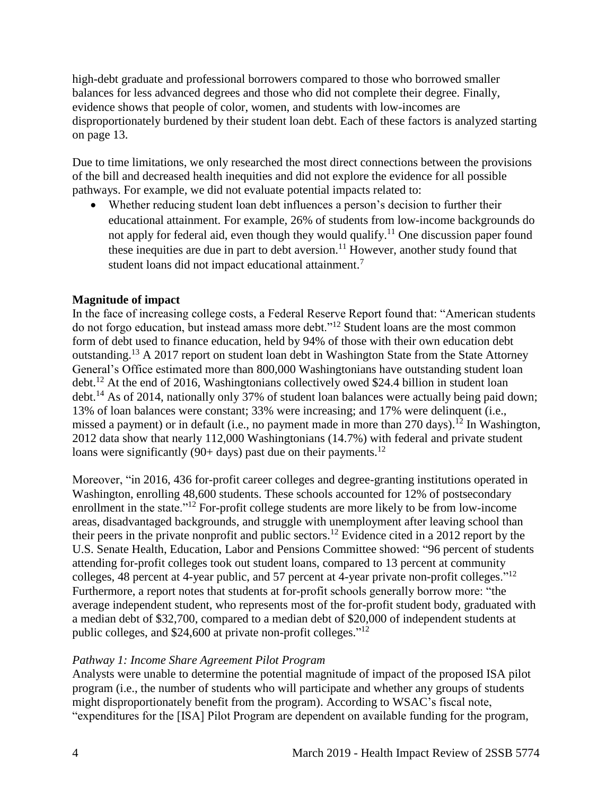high-debt graduate and professional borrowers compared to those who borrowed smaller balances for less advanced degrees and those who did not complete their degree. Finally, evidence shows that people of color, women, and students with low-incomes are disproportionately burdened by their student loan debt. Each of these factors is analyzed starting on page 13.

Due to time limitations, we only researched the most direct connections between the provisions of the bill and decreased health inequities and did not explore the evidence for all possible pathways. For example, we did not evaluate potential impacts related to:

 Whether reducing student loan debt influences a person's decision to further their educational attainment. For example, 26% of students from low-income backgrounds do not apply for federal aid, even though they would qualify.<sup>11</sup> One discussion paper found these inequities are due in part to debt aversion.<sup>11</sup> However, another study found that student loans did not impact educational attainment.<sup>7</sup>

#### **Magnitude of impact**

In the face of increasing college costs, a Federal Reserve Report found that: "American students do not forgo education, but instead amass more debt."<sup>12</sup> Student loans are the most common form of debt used to finance education, held by 94% of those with their own education debt outstanding.<sup>13</sup> A 2017 report on student loan debt in Washington State from the State Attorney General's Office estimated more than 800,000 Washingtonians have outstanding student loan debt.<sup>12</sup> At the end of 2016, Washingtonians collectively owed \$24.4 billion in student loan debt.<sup>14</sup> As of 2014, nationally only 37% of student loan balances were actually being paid down; 13% of loan balances were constant; 33% were increasing; and 17% were delinquent (i.e., missed a payment) or in default (i.e., no payment made in more than 270 days).<sup>12</sup> In Washington, 2012 data show that nearly 112,000 Washingtonians (14.7%) with federal and private student loans were significantly (90+ days) past due on their payments.<sup>12</sup>

Moreover, "in 2016, 436 for-profit career colleges and degree-granting institutions operated in Washington, enrolling 48,600 students. These schools accounted for 12% of postsecondary enrollment in the state."<sup>12</sup> For-profit college students are more likely to be from low-income areas, disadvantaged backgrounds, and struggle with unemployment after leaving school than their peers in the private nonprofit and public sectors.<sup>12</sup> Evidence cited in a 2012 report by the U.S. Senate Health, Education, Labor and Pensions Committee showed: "96 percent of students attending for-profit colleges took out student loans, compared to 13 percent at community colleges, 48 percent at 4-year public, and 57 percent at 4-year private non-profit colleges."<sup>12</sup> Furthermore, a report notes that students at for-profit schools generally borrow more: "the average independent student, who represents most of the for-profit student body, graduated with a median debt of \$32,700, compared to a median debt of \$20,000 of independent students at public colleges, and \$24,600 at private non-profit colleges."<sup>12</sup>

#### *Pathway 1: Income Share Agreement Pilot Program*

Analysts were unable to determine the potential magnitude of impact of the proposed ISA pilot program (i.e., the number of students who will participate and whether any groups of students might disproportionately benefit from the program). According to WSAC's fiscal note, "expenditures for the [ISA] Pilot Program are dependent on available funding for the program,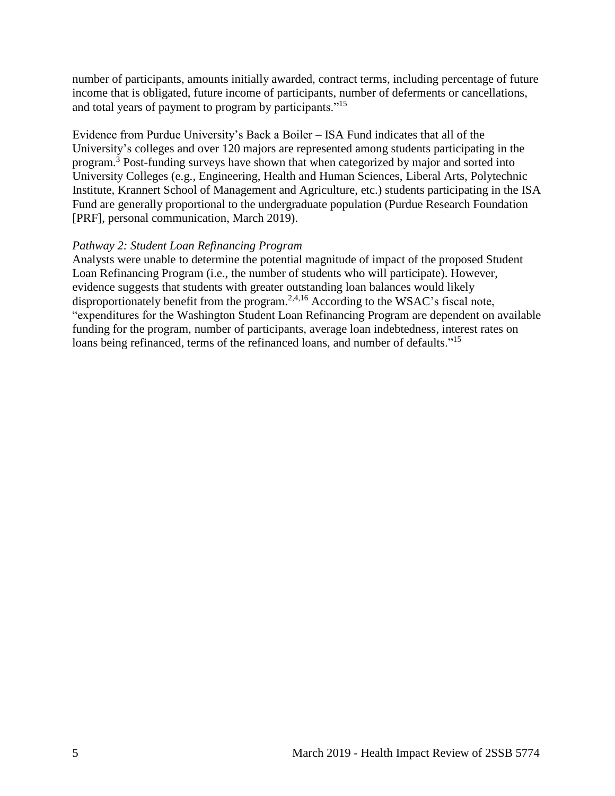number of participants, amounts initially awarded, contract terms, including percentage of future income that is obligated, future income of participants, number of deferments or cancellations, and total years of payment to program by participants."<sup>15</sup>

Evidence from Purdue University's Back a Boiler – ISA Fund indicates that all of the University's colleges and over 120 majors are represented among students participating in the program.<sup>3</sup> Post-funding surveys have shown that when categorized by major and sorted into University Colleges (e.g., Engineering, Health and Human Sciences, Liberal Arts, Polytechnic Institute, Krannert School of Management and Agriculture, etc.) students participating in the ISA Fund are generally proportional to the undergraduate population (Purdue Research Foundation [PRF], personal communication, March 2019).

#### *Pathway 2: Student Loan Refinancing Program*

Analysts were unable to determine the potential magnitude of impact of the proposed Student Loan Refinancing Program (i.e., the number of students who will participate). However, evidence suggests that students with greater outstanding loan balances would likely disproportionately benefit from the program.<sup>[2,](#page-21-0)[4](#page-21-1)[,16](#page-30-0)</sup> According to the WSAC's fiscal note, "expenditures for the Washington Student Loan Refinancing Program are dependent on available funding for the program, number of participants, average loan indebtedness, interest rates on loans being refinanced, terms of the refinanced loans, and number of defaults."<sup>15</sup>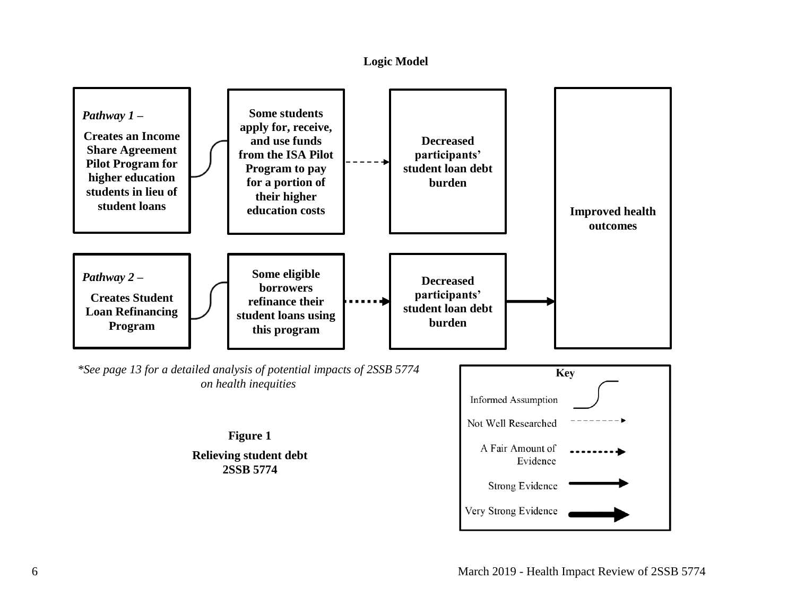#### **Logic Model**

<span id="page-9-0"></span>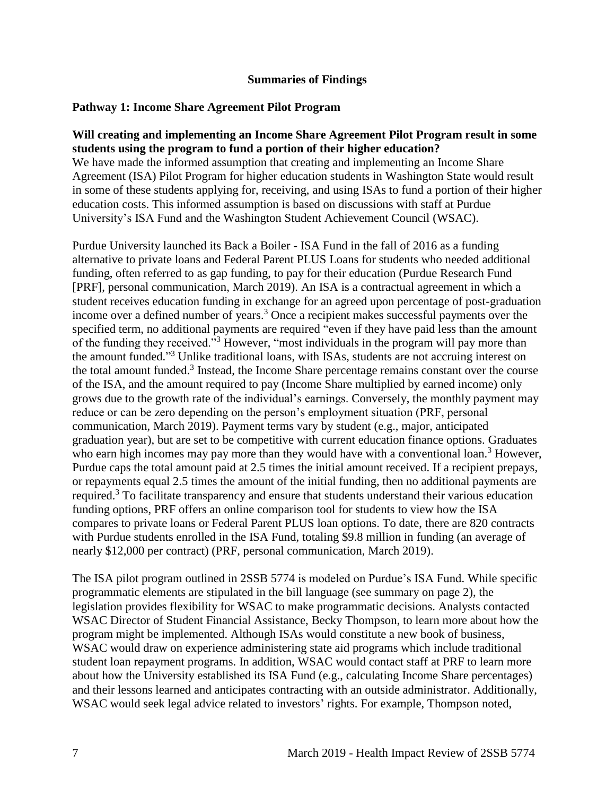#### **Summaries of Findings**

#### <span id="page-10-0"></span>**Pathway 1: Income Share Agreement Pilot Program**

#### **Will creating and implementing an Income Share Agreement Pilot Program result in some students using the program to fund a portion of their higher education?**

We have made the informed assumption that creating and implementing an Income Share Agreement (ISA) Pilot Program for higher education students in Washington State would result in some of these students applying for, receiving, and using ISAs to fund a portion of their higher education costs. This informed assumption is based on discussions with staff at Purdue University's ISA Fund and the Washington Student Achievement Council (WSAC).

Purdue University launched its Back a Boiler - ISA Fund in the fall of 2016 as a funding alternative to private loans and Federal Parent PLUS Loans for students who needed additional funding, often referred to as gap funding, to pay for their education (Purdue Research Fund [PRF], personal communication, March 2019). An ISA is a contractual agreement in which a student receives education funding in exchange for an agreed upon percentage of post-graduation income over a defined number of years.<sup>3</sup> Once a recipient makes successful payments over the specified term, no additional payments are required "even if they have paid less than the amount of the funding they received."<sup>3</sup> However, "most individuals in the program will pay more than the amount funded."<sup>3</sup> Unlike traditional loans, with ISAs, students are not accruing interest on the total amount funded.<sup>3</sup> Instead, the Income Share percentage remains constant over the course of the ISA, and the amount required to pay (Income Share multiplied by earned income) only grows due to the growth rate of the individual's earnings. Conversely, the monthly payment may reduce or can be zero depending on the person's employment situation (PRF, personal communication, March 2019). Payment terms vary by student (e.g., major, anticipated graduation year), but are set to be competitive with current education finance options. Graduates who earn high incomes may pay more than they would have with a conventional loan.<sup>3</sup> However, Purdue caps the total amount paid at 2.5 times the initial amount received. If a recipient prepays, or repayments equal 2.5 times the amount of the initial funding, then no additional payments are required.<sup>3</sup> To facilitate transparency and ensure that students understand their various education funding options, PRF offers an online comparison tool for students to view how the ISA compares to private loans or Federal Parent PLUS loan options. To date, there are 820 contracts with Purdue students enrolled in the ISA Fund, totaling \$9.8 million in funding (an average of nearly \$12,000 per contract) (PRF, personal communication, March 2019).

The ISA pilot program outlined in 2SSB 5774 is modeled on Purdue's ISA Fund. While specific programmatic elements are stipulated in the bill language (see summary on page 2), the legislation provides flexibility for WSAC to make programmatic decisions. Analysts contacted WSAC Director of Student Financial Assistance, Becky Thompson, to learn more about how the program might be implemented. Although ISAs would constitute a new book of business, WSAC would draw on experience administering state aid programs which include traditional student loan repayment programs. In addition, WSAC would contact staff at PRF to learn more about how the University established its ISA Fund (e.g., calculating Income Share percentages) and their lessons learned and anticipates contracting with an outside administrator. Additionally, WSAC would seek legal advice related to investors' rights. For example, Thompson noted,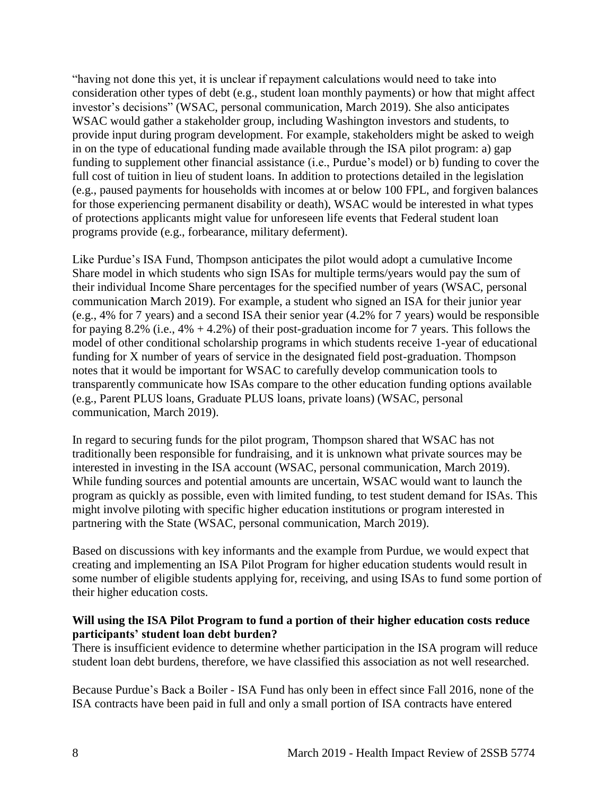"having not done this yet, it is unclear if repayment calculations would need to take into consideration other types of debt (e.g., student loan monthly payments) or how that might affect investor's decisions" (WSAC, personal communication, March 2019). She also anticipates WSAC would gather a stakeholder group, including Washington investors and students, to provide input during program development. For example, stakeholders might be asked to weigh in on the type of educational funding made available through the ISA pilot program: a) gap funding to supplement other financial assistance (i.e., Purdue's model) or b) funding to cover the full cost of tuition in lieu of student loans. In addition to protections detailed in the legislation (e.g., paused payments for households with incomes at or below 100 FPL, and forgiven balances for those experiencing permanent disability or death), WSAC would be interested in what types of protections applicants might value for unforeseen life events that Federal student loan programs provide (e.g., forbearance, military deferment).

Like Purdue's ISA Fund, Thompson anticipates the pilot would adopt a cumulative Income Share model in which students who sign ISAs for multiple terms/years would pay the sum of their individual Income Share percentages for the specified number of years (WSAC, personal communication March 2019). For example, a student who signed an ISA for their junior year (e.g., 4% for 7 years) and a second ISA their senior year (4.2% for 7 years) would be responsible for paying 8.2% (i.e.,  $4\% + 4.2\%$ ) of their post-graduation income for 7 years. This follows the model of other conditional scholarship programs in which students receive 1-year of educational funding for X number of years of service in the designated field post-graduation. Thompson notes that it would be important for WSAC to carefully develop communication tools to transparently communicate how ISAs compare to the other education funding options available (e.g., Parent PLUS loans, Graduate PLUS loans, private loans) (WSAC, personal communication, March 2019).

In regard to securing funds for the pilot program, Thompson shared that WSAC has not traditionally been responsible for fundraising, and it is unknown what private sources may be interested in investing in the ISA account (WSAC, personal communication, March 2019). While funding sources and potential amounts are uncertain, WSAC would want to launch the program as quickly as possible, even with limited funding, to test student demand for ISAs. This might involve piloting with specific higher education institutions or program interested in partnering with the State (WSAC, personal communication, March 2019).

Based on discussions with key informants and the example from Purdue, we would expect that creating and implementing an ISA Pilot Program for higher education students would result in some number of eligible students applying for, receiving, and using ISAs to fund some portion of their higher education costs.

#### **Will using the ISA Pilot Program to fund a portion of their higher education costs reduce participants' student loan debt burden?**

There is insufficient evidence to determine whether participation in the ISA program will reduce student loan debt burdens, therefore, we have classified this association as not well researched.

Because Purdue's Back a Boiler - ISA Fund has only been in effect since Fall 2016, none of the ISA contracts have been paid in full and only a small portion of ISA contracts have entered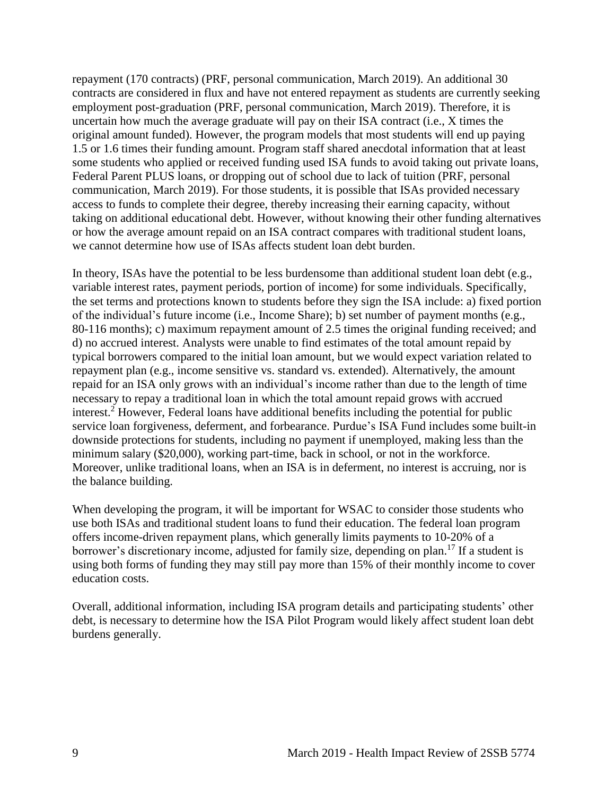repayment (170 contracts) (PRF, personal communication, March 2019). An additional 30 contracts are considered in flux and have not entered repayment as students are currently seeking employment post-graduation (PRF, personal communication, March 2019). Therefore, it is uncertain how much the average graduate will pay on their ISA contract (i.e., X times the original amount funded). However, the program models that most students will end up paying 1.5 or 1.6 times their funding amount. Program staff shared anecdotal information that at least some students who applied or received funding used ISA funds to avoid taking out private loans, Federal Parent PLUS loans, or dropping out of school due to lack of tuition (PRF, personal communication, March 2019). For those students, it is possible that ISAs provided necessary access to funds to complete their degree, thereby increasing their earning capacity, without taking on additional educational debt. However, without knowing their other funding alternatives or how the average amount repaid on an ISA contract compares with traditional student loans, we cannot determine how use of ISAs affects student loan debt burden.

In theory, ISAs have the potential to be less burdensome than additional student loan debt (e.g., variable interest rates, payment periods, portion of income) for some individuals. Specifically, the set terms and protections known to students before they sign the ISA include: a) fixed portion of the individual's future income (i.e., Income Share); b) set number of payment months (e.g., 80-116 months); c) maximum repayment amount of 2.5 times the original funding received; and d) no accrued interest. Analysts were unable to find estimates of the total amount repaid by typical borrowers compared to the initial loan amount, but we would expect variation related to repayment plan (e.g., income sensitive vs. standard vs. extended). Alternatively, the amount repaid for an ISA only grows with an individual's income rather than due to the length of time necessary to repay a traditional loan in which the total amount repaid grows with accrued interest. <sup>2</sup> However, Federal loans have additional benefits including the potential for public service loan forgiveness, deferment, and forbearance. Purdue's ISA Fund includes some built-in downside protections for students, including no payment if unemployed, making less than the minimum salary (\$20,000), working part-time, back in school, or not in the workforce. Moreover, unlike traditional loans, when an ISA is in deferment, no interest is accruing, nor is the balance building.

When developing the program, it will be important for WSAC to consider those students who use both ISAs and traditional student loans to fund their education. The federal loan program offers income-driven repayment plans, which generally limits payments to 10-20% of a borrower's discretionary income, adjusted for family size, depending on plan.<sup>17</sup> If a student is using both forms of funding they may still pay more than 15% of their monthly income to cover education costs.

Overall, additional information, including ISA program details and participating students' other debt, is necessary to determine how the ISA Pilot Program would likely affect student loan debt burdens generally.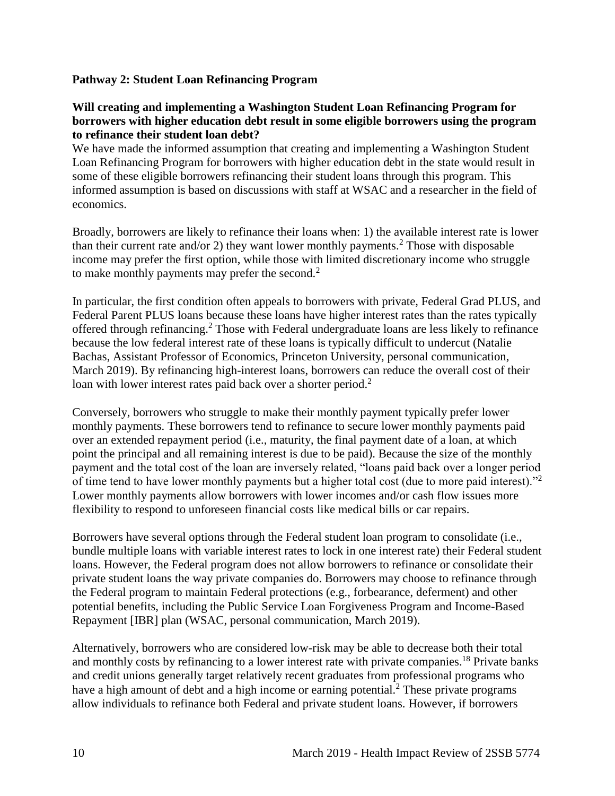#### **Pathway 2: Student Loan Refinancing Program**

#### **Will creating and implementing a Washington Student Loan Refinancing Program for borrowers with higher education debt result in some eligible borrowers using the program to refinance their student loan debt?**

We have made the informed assumption that creating and implementing a Washington Student Loan Refinancing Program for borrowers with higher education debt in the state would result in some of these eligible borrowers refinancing their student loans through this program. This informed assumption is based on discussions with staff at WSAC and a researcher in the field of economics.

Broadly, borrowers are likely to refinance their loans when: 1) the available interest rate is lower than their current rate and/or 2) they want lower monthly payments.<sup>2</sup> Those with disposable income may prefer the first option, while those with limited discretionary income who struggle to make monthly payments may prefer the second.<sup>2</sup>

In particular, the first condition often appeals to borrowers with private, Federal Grad PLUS, and Federal Parent PLUS loans because these loans have higher interest rates than the rates typically offered through refinancing.<sup>2</sup> Those with Federal undergraduate loans are less likely to refinance because the low federal interest rate of these loans is typically difficult to undercut (Natalie Bachas, Assistant Professor of Economics, Princeton University, personal communication, March 2019). By refinancing high-interest loans, borrowers can reduce the overall cost of their loan with lower interest rates paid back over a shorter period.<sup>2</sup>

Conversely, borrowers who struggle to make their monthly payment typically prefer lower monthly payments. These borrowers tend to refinance to secure lower monthly payments paid over an extended repayment period (i.e., maturity, the final payment date of a loan, at which point the principal and all remaining interest is due to be paid). Because the size of the monthly payment and the total cost of the loan are inversely related, "loans paid back over a longer period of time tend to have lower monthly payments but a higher total cost (due to more paid interest)."<sup>2</sup> Lower monthly payments allow borrowers with lower incomes and/or cash flow issues more flexibility to respond to unforeseen financial costs like medical bills or car repairs.

Borrowers have several options through the Federal student loan program to consolidate (i.e., bundle multiple loans with variable interest rates to lock in one interest rate) their Federal student loans. However, the Federal program does not allow borrowers to refinance or consolidate their private student loans the way private companies do. Borrowers may choose to refinance through the Federal program to maintain Federal protections (e.g., forbearance, deferment) and other potential benefits, including the Public Service Loan Forgiveness Program and Income-Based Repayment [IBR] plan (WSAC, personal communication, March 2019).

Alternatively, borrowers who are considered low-risk may be able to decrease both their total and monthly costs by refinancing to a lower interest rate with private companies.<sup>18</sup> Private banks and credit unions generally target relatively recent graduates from professional programs who have a high amount of debt and a high income or earning potential.<sup>2</sup> These private programs allow individuals to refinance both Federal and private student loans. However, if borrowers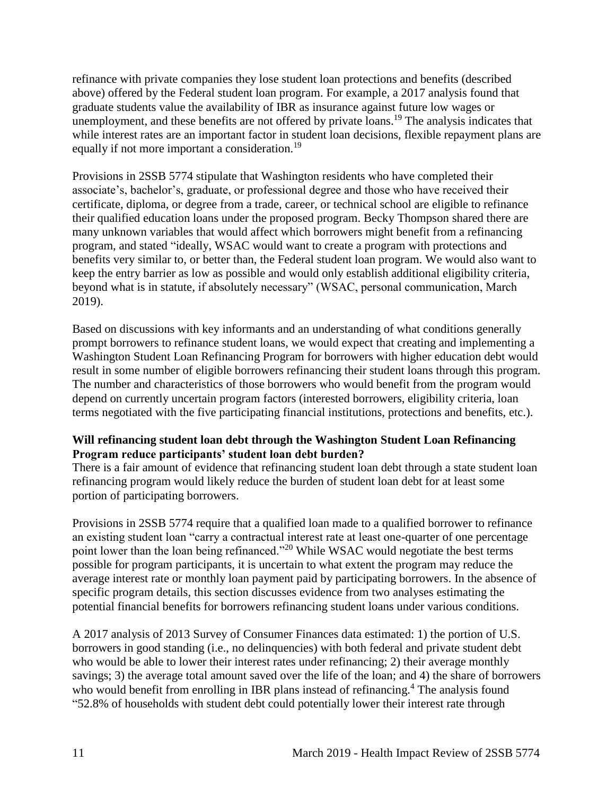refinance with private companies they lose student loan protections and benefits (described above) offered by the Federal student loan program. For example, a 2017 analysis found that graduate students value the availability of IBR as insurance against future low wages or unemployment, and these benefits are not offered by private loans.<sup>19</sup> The analysis indicates that while interest rates are an important factor in student loan decisions, flexible repayment plans are equally if not more important a consideration.<sup>19</sup>

Provisions in 2SSB 5774 stipulate that Washington residents who have completed their associate's, bachelor's, graduate, or professional degree and those who have received their certificate, diploma, or degree from a trade, career, or technical school are eligible to refinance their qualified education loans under the proposed program. Becky Thompson shared there are many unknown variables that would affect which borrowers might benefit from a refinancing program, and stated "ideally, WSAC would want to create a program with protections and benefits very similar to, or better than, the Federal student loan program. We would also want to keep the entry barrier as low as possible and would only establish additional eligibility criteria, beyond what is in statute, if absolutely necessary" (WSAC, personal communication, March 2019).

Based on discussions with key informants and an understanding of what conditions generally prompt borrowers to refinance student loans, we would expect that creating and implementing a Washington Student Loan Refinancing Program for borrowers with higher education debt would result in some number of eligible borrowers refinancing their student loans through this program. The number and characteristics of those borrowers who would benefit from the program would depend on currently uncertain program factors (interested borrowers, eligibility criteria, loan terms negotiated with the five participating financial institutions, protections and benefits, etc.).

#### **Will refinancing student loan debt through the Washington Student Loan Refinancing Program reduce participants' student loan debt burden?**

There is a fair amount of evidence that refinancing student loan debt through a state student loan refinancing program would likely reduce the burden of student loan debt for at least some portion of participating borrowers.

Provisions in 2SSB 5774 require that a qualified loan made to a qualified borrower to refinance an existing student loan "carry a contractual interest rate at least one-quarter of one percentage point lower than the loan being refinanced."<sup>20</sup> While WSAC would negotiate the best terms possible for program participants, it is uncertain to what extent the program may reduce the average interest rate or monthly loan payment paid by participating borrowers. In the absence of specific program details, this section discusses evidence from two analyses estimating the potential financial benefits for borrowers refinancing student loans under various conditions.

A 2017 analysis of 2013 Survey of Consumer Finances data estimated: 1) the portion of U.S. borrowers in good standing (i.e., no delinquencies) with both federal and private student debt who would be able to lower their interest rates under refinancing; 2) their average monthly savings; 3) the average total amount saved over the life of the loan; and 4) the share of borrowers who would benefit from enrolling in IBR plans instead of refinancing.<sup>4</sup> The analysis found "52.8% of households with student debt could potentially lower their interest rate through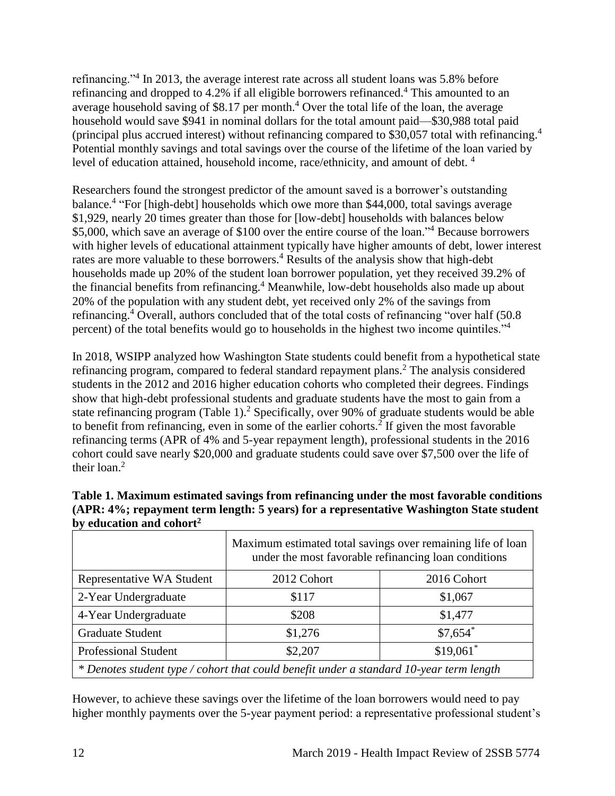refinancing."<sup>4</sup> In 2013, the average interest rate across all student loans was 5.8% before refinancing and dropped to 4.2% if all eligible borrowers refinanced.<sup>4</sup> This amounted to an average household saving of \$8.17 per month.<sup>4</sup> Over the total life of the loan, the average household would save \$941 in nominal dollars for the total amount paid—\$30,988 total paid (principal plus accrued interest) without refinancing compared to \$30,057 total with refinancing. 4 Potential monthly savings and total savings over the course of the lifetime of the loan varied by level of education attained, household income, race/ethnicity, and amount of debt.<sup>4</sup>

Researchers found the strongest predictor of the amount saved is a borrower's outstanding balance. 4 "For [high-debt] households which owe more than \$44,000, total savings average \$1,929, nearly 20 times greater than those for [low-debt] households with balances below \$5,000, which save an average of \$100 over the entire course of the loan."<sup>4</sup> Because borrowers with higher levels of educational attainment typically have higher amounts of debt, lower interest rates are more valuable to these borrowers.<sup>4</sup> Results of the analysis show that high-debt households made up 20% of the student loan borrower population, yet they received 39.2% of the financial benefits from refinancing.<sup>4</sup> Meanwhile, low-debt households also made up about 20% of the population with any student debt, yet received only 2% of the savings from refinancing.<sup>4</sup> Overall, authors concluded that of the total costs of refinancing "over half (50.8) percent) of the total benefits would go to households in the highest two income quintiles."<sup>4</sup>

In 2018, WSIPP analyzed how Washington State students could benefit from a hypothetical state refinancing program, compared to federal standard repayment plans.<sup>2</sup> The analysis considered students in the 2012 and 2016 higher education cohorts who completed their degrees. Findings show that high-debt professional students and graduate students have the most to gain from a state refinancing program (Table 1).<sup>2</sup> Specifically, over 90% of graduate students would be able to benefit from refinancing, even in some of the earlier cohorts.<sup>2</sup> If given the most favorable refinancing terms (APR of 4% and 5-year repayment length), professional students in the 2016 cohort could save nearly \$20,000 and graduate students could save over \$7,500 over the life of their loan.<sup>2</sup>

|                                                                                           | Maximum estimated total savings over remaining life of loan<br>under the most favorable refinancing loan conditions |             |  |
|-------------------------------------------------------------------------------------------|---------------------------------------------------------------------------------------------------------------------|-------------|--|
| Representative WA Student                                                                 | 2012 Cohort                                                                                                         | 2016 Cohort |  |
| 2-Year Undergraduate                                                                      | \$117                                                                                                               | \$1,067     |  |
| 4-Year Undergraduate                                                                      | \$208                                                                                                               | \$1,477     |  |
| <b>Graduate Student</b>                                                                   | \$1,276                                                                                                             | $$7,654$ *  |  |
| <b>Professional Student</b>                                                               | \$2,207                                                                                                             | $$19,061$ * |  |
| $*$ Denotes student type / cohort that could benefit under a standard 10-year term length |                                                                                                                     |             |  |

#### **Table 1. Maximum estimated savings from refinancing under the most favorable conditions (APR: 4%; repayment term length: 5 years) for a representative Washington State student by education and cohort<sup>2</sup>**

However, to achieve these savings over the lifetime of the loan borrowers would need to pay higher monthly payments over the 5-year payment period: a representative professional student's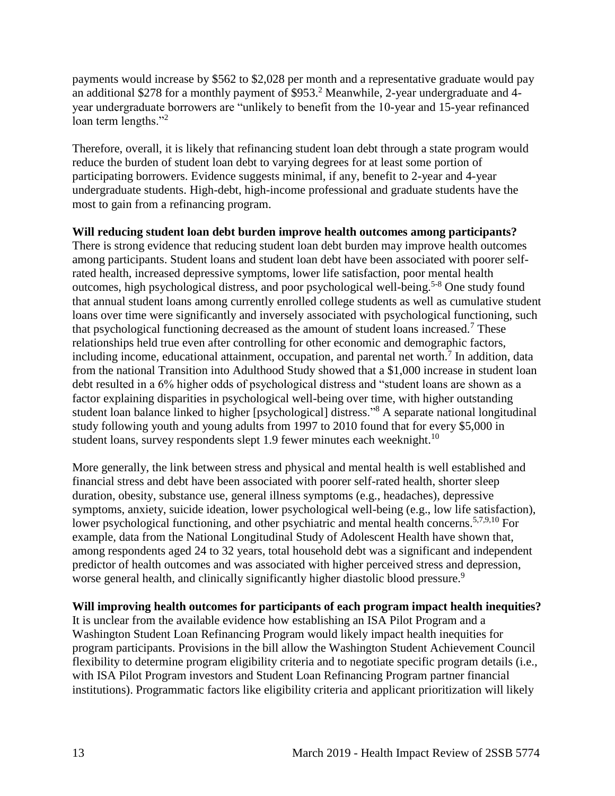payments would increase by \$562 to \$2,028 per month and a representative graduate would pay an additional \$278 for a monthly payment of \$953.<sup>2</sup> Meanwhile, 2-year undergraduate and 4year undergraduate borrowers are "unlikely to benefit from the 10-year and 15-year refinanced loan term lengths."<sup>2</sup>

Therefore, overall, it is likely that refinancing student loan debt through a state program would reduce the burden of student loan debt to varying degrees for at least some portion of participating borrowers. Evidence suggests minimal, if any, benefit to 2-year and 4-year undergraduate students. High-debt, high-income professional and graduate students have the most to gain from a refinancing program.

### **Will reducing student loan debt burden improve health outcomes among participants?**

There is strong evidence that reducing student loan debt burden may improve health outcomes among participants. Student loans and student loan debt have been associated with poorer selfrated health, increased depressive symptoms, lower life satisfaction, poor mental health outcomes, high psychological distress, and poor psychological well-being.<sup>5-8</sup> One study found that annual student loans among currently enrolled college students as well as cumulative student loans over time were significantly and inversely associated with psychological functioning, such that psychological functioning decreased as the amount of student loans increased.<sup>7</sup> These relationships held true even after controlling for other economic and demographic factors, including income, educational attainment, occupation, and parental net worth.<sup>7</sup> In addition, data from the national Transition into Adulthood Study showed that a \$1,000 increase in student loan debt resulted in a 6% higher odds of psychological distress and "student loans are shown as a factor explaining disparities in psychological well-being over time, with higher outstanding student loan balance linked to higher [psychological] distress."<sup>8</sup> A separate national longitudinal study following youth and young adults from 1997 to 2010 found that for every \$5,000 in student loans, survey respondents slept 1.9 fewer minutes each weeknight.<sup>10</sup>

More generally, the link between stress and physical and mental health is well established and financial stress and debt have been associated with poorer self-rated health, shorter sleep duration, obesity, substance use, general illness symptoms (e.g., headaches), depressive symptoms, anxiety, suicide ideation, lower psychological well-being (e.g., low life satisfaction), lower psychological functioning, and other psychiatric and mental health concerns.<sup>[5,](#page-23-0)[7](#page-24-0)[,9](#page-25-0)[,10](#page-26-0)</sup> For example, data from the National Longitudinal Study of Adolescent Health have shown that, among respondents aged 24 to 32 years, total household debt was a significant and independent predictor of health outcomes and was associated with higher perceived stress and depression, worse general health, and clinically significantly higher diastolic blood pressure.<sup>9</sup>

#### **Will improving health outcomes for participants of each program impact health inequities?**

It is unclear from the available evidence how establishing an ISA Pilot Program and a Washington Student Loan Refinancing Program would likely impact health inequities for program participants. Provisions in the bill allow the Washington Student Achievement Council flexibility to determine program eligibility criteria and to negotiate specific program details (i.e., with ISA Pilot Program investors and Student Loan Refinancing Program partner financial institutions). Programmatic factors like eligibility criteria and applicant prioritization will likely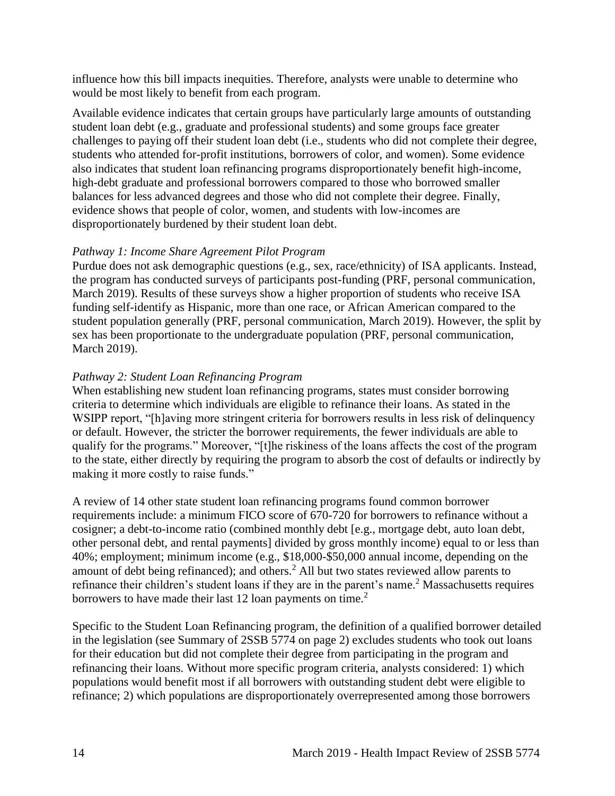influence how this bill impacts inequities. Therefore, analysts were unable to determine who would be most likely to benefit from each program.

Available evidence indicates that certain groups have particularly large amounts of outstanding student loan debt (e.g., graduate and professional students) and some groups face greater challenges to paying off their student loan debt (i.e., students who did not complete their degree, students who attended for-profit institutions, borrowers of color, and women). Some evidence also indicates that student loan refinancing programs disproportionately benefit high-income, high-debt graduate and professional borrowers compared to those who borrowed smaller balances for less advanced degrees and those who did not complete their degree. Finally, evidence shows that people of color, women, and students with low-incomes are disproportionately burdened by their student loan debt.

#### *Pathway 1: Income Share Agreement Pilot Program*

Purdue does not ask demographic questions (e.g., sex, race/ethnicity) of ISA applicants. Instead, the program has conducted surveys of participants post-funding (PRF, personal communication, March 2019). Results of these surveys show a higher proportion of students who receive ISA funding self-identify as Hispanic, more than one race, or African American compared to the student population generally (PRF, personal communication, March 2019). However, the split by sex has been proportionate to the undergraduate population (PRF, personal communication, March 2019).

#### *Pathway 2: Student Loan Refinancing Program*

When establishing new student loan refinancing programs, states must consider borrowing criteria to determine which individuals are eligible to refinance their loans. As stated in the WSIPP report, "[h]aving more stringent criteria for borrowers results in less risk of delinquency or default. However, the stricter the borrower requirements, the fewer individuals are able to qualify for the programs." Moreover, "[t]he riskiness of the loans affects the cost of the program to the state, either directly by requiring the program to absorb the cost of defaults or indirectly by making it more costly to raise funds."

A review of 14 other state student loan refinancing programs found common borrower requirements include: a minimum FICO score of 670-720 for borrowers to refinance without a cosigner; a debt-to-income ratio (combined monthly debt [e.g., mortgage debt, auto loan debt, other personal debt, and rental payments] divided by gross monthly income) equal to or less than 40%; employment; minimum income (e.g., \$18,000-\$50,000 annual income, depending on the amount of debt being refinanced); and others.<sup>2</sup> All but two states reviewed allow parents to refinance their children's student loans if they are in the parent's name.<sup>2</sup> Massachusetts requires borrowers to have made their last 12 loan payments on time.<sup>2</sup>

Specific to the Student Loan Refinancing program, the definition of a qualified borrower detailed in the legislation (see Summary of 2SSB 5774 on page 2) excludes students who took out loans for their education but did not complete their degree from participating in the program and refinancing their loans. Without more specific program criteria, analysts considered: 1) which populations would benefit most if all borrowers with outstanding student debt were eligible to refinance; 2) which populations are disproportionately overrepresented among those borrowers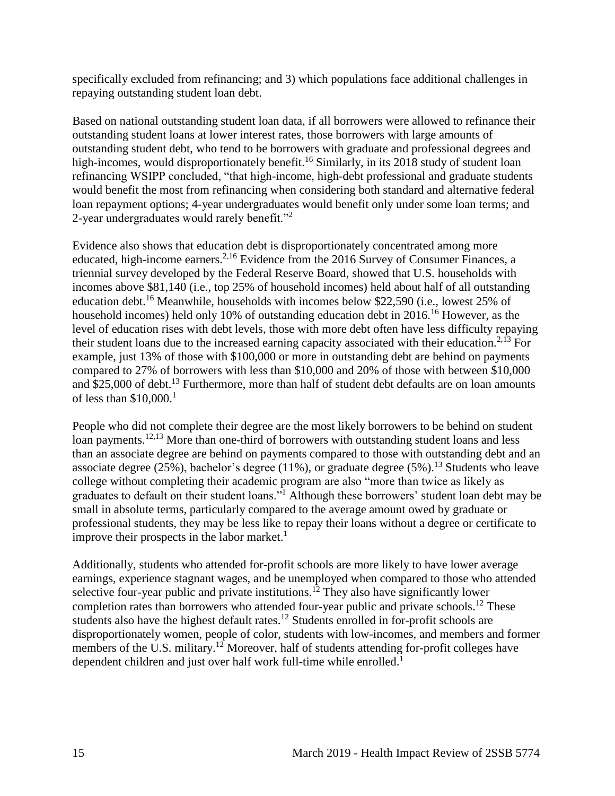specifically excluded from refinancing; and 3) which populations face additional challenges in repaying outstanding student loan debt.

Based on national outstanding student loan data, if all borrowers were allowed to refinance their outstanding student loans at lower interest rates, those borrowers with large amounts of outstanding student debt, who tend to be borrowers with graduate and professional degrees and high-incomes, would disproportionately benefit.<sup>16</sup> Similarly, in its 2018 study of student loan refinancing WSIPP concluded, "that high-income, high-debt professional and graduate students would benefit the most from refinancing when considering both standard and alternative federal loan repayment options; 4-year undergraduates would benefit only under some loan terms; and 2-year undergraduates would rarely benefit."<sup>2</sup>

Evidence also shows that education debt is disproportionately concentrated among more educated, high-income earners.<sup>[2,](#page-21-0)[16](#page-30-0)</sup> Evidence from the 2016 Survey of Consumer Finances, a triennial survey developed by the Federal Reserve Board, showed that U.S. households with incomes above \$81,140 (i.e., top 25% of household incomes) held about half of all outstanding education debt.<sup>16</sup> Meanwhile, households with incomes below \$22,590 (i.e., lowest 25% of household incomes) held only 10% of outstanding education debt in  $2016$ .<sup>16</sup> However, as the level of education rises with debt levels, those with more debt often have less difficulty repaying their student loans due to the increased earning capacity associated with their education.<sup>[2,](#page-21-0)[13](#page-29-0)</sup> For example, just 13% of those with \$100,000 or more in outstanding debt are behind on payments compared to 27% of borrowers with less than \$10,000 and 20% of those with between \$10,000 and \$25,000 of debt.<sup>13</sup> Furthermore, more than half of student debt defaults are on loan amounts of less than  $$10,000$ <sup>1</sup>

People who did not complete their degree are the most likely borrowers to be behind on student loan payments.<sup>[12,](#page-28-0)[13](#page-29-0)</sup> More than one-third of borrowers with outstanding student loans and less than an associate degree are behind on payments compared to those with outstanding debt and an associate degree (25%), bachelor's degree (11%), or graduate degree (5%).<sup>13</sup> Students who leave college without completing their academic program are also "more than twice as likely as graduates to default on their student loans."<sup>1</sup> Although these borrowers' student loan debt may be small in absolute terms, particularly compared to the average amount owed by graduate or professional students, they may be less like to repay their loans without a degree or certificate to improve their prospects in the labor market.<sup>1</sup>

Additionally, students who attended for-profit schools are more likely to have lower average earnings, experience stagnant wages, and be unemployed when compared to those who attended selective four-year public and private institutions.<sup>12</sup> They also have significantly lower completion rates than borrowers who attended four-year public and private schools.<sup>12</sup> These students also have the highest default rates.<sup>12</sup> Students enrolled in for-profit schools are disproportionately women, people of color, students with low-incomes, and members and former members of the U.S. military.<sup>12</sup> Moreover, half of students attending for-profit colleges have dependent children and just over half work full-time while enrolled.<sup>1</sup>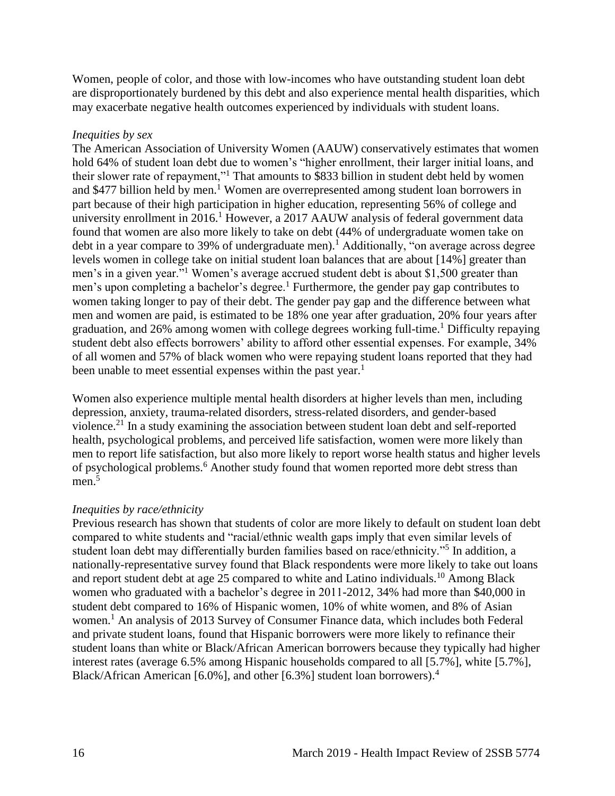Women, people of color, and those with low-incomes who have outstanding student loan debt are disproportionately burdened by this debt and also experience mental health disparities, which may exacerbate negative health outcomes experienced by individuals with student loans.

#### *Inequities by sex*

The American Association of University Women (AAUW) conservatively estimates that women hold 64% of student loan debt due to women's "higher enrollment, their larger initial loans, and their slower rate of repayment,"<sup>1</sup> That amounts to \$833 billion in student debt held by women and \$477 billion held by men.<sup>1</sup> Women are overrepresented among student loan borrowers in part because of their high participation in higher education, representing 56% of college and university enrollment in  $2016<sup>1</sup>$  However, a 2017 AAUW analysis of federal government data found that women are also more likely to take on debt (44% of undergraduate women take on debt in a year compare to 39% of undergraduate men).<sup>1</sup> Additionally, "on average across degree levels women in college take on initial student loan balances that are about [14%] greater than men's in a given year."<sup>1</sup> Women's average accrued student debt is about \$1,500 greater than men's upon completing a bachelor's degree.<sup>1</sup> Furthermore, the gender pay gap contributes to women taking longer to pay of their debt. The gender pay gap and the difference between what men and women are paid, is estimated to be 18% one year after graduation, 20% four years after graduation, and 26% among women with college degrees working full-time.<sup>1</sup> Difficulty repaying student debt also effects borrowers' ability to afford other essential expenses. For example, 34% of all women and 57% of black women who were repaying student loans reported that they had been unable to meet essential expenses within the past year.<sup>1</sup>

Women also experience multiple mental health disorders at higher levels than men, including depression, anxiety, trauma-related disorders, stress-related disorders, and gender-based violence.<sup>21</sup> In a study examining the association between student loan debt and self-reported health, psychological problems, and perceived life satisfaction, women were more likely than men to report life satisfaction, but also more likely to report worse health status and higher levels of psychological problems.<sup>6</sup> Another study found that women reported more debt stress than  $men.<sup>5</sup>$ 

#### *Inequities by race/ethnicity*

Previous research has shown that students of color are more likely to default on student loan debt compared to white students and "racial/ethnic wealth gaps imply that even similar levels of student loan debt may differentially burden families based on race/ethnicity."<sup>5</sup> In addition, a nationally-representative survey found that Black respondents were more likely to take out loans and report student debt at age 25 compared to white and Latino individuals.<sup>10</sup> Among Black women who graduated with a bachelor's degree in 2011-2012, 34% had more than \$40,000 in student debt compared to 16% of Hispanic women, 10% of white women, and 8% of Asian women.<sup>1</sup> An analysis of 2013 Survey of Consumer Finance data, which includes both Federal and private student loans, found that Hispanic borrowers were more likely to refinance their student loans than white or Black/African American borrowers because they typically had higher interest rates (average 6.5% among Hispanic households compared to all [5.7%], white [5.7%], Black/African American [6.0%], and other [6.3%] student loan borrowers). 4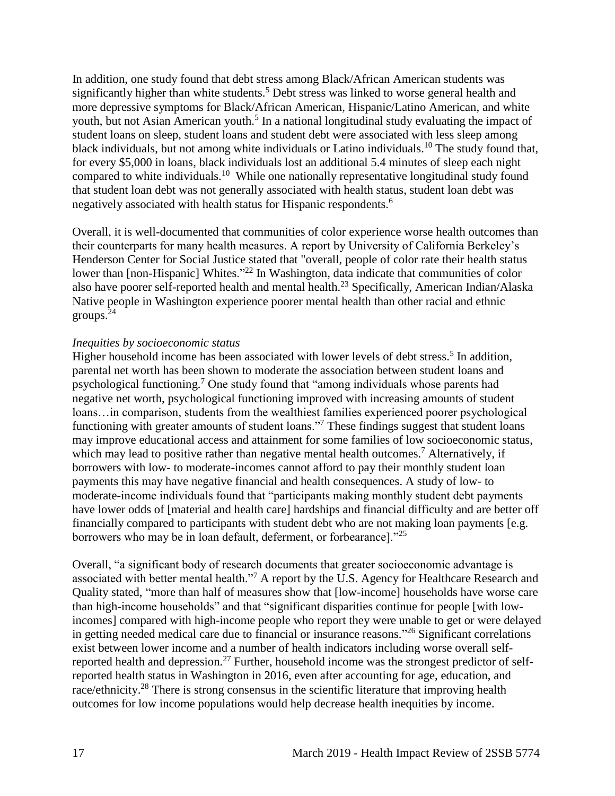In addition, one study found that debt stress among Black/African American students was significantly higher than white students.<sup>5</sup> Debt stress was linked to worse general health and more depressive symptoms for Black/African American, Hispanic/Latino American, and white youth, but not Asian American youth.<sup>5</sup> In a national longitudinal study evaluating the impact of student loans on sleep, student loans and student debt were associated with less sleep among black individuals, but not among white individuals or Latino individuals.<sup>10</sup> The study found that, for every \$5,000 in loans, black individuals lost an additional 5.4 minutes of sleep each night compared to white individuals.<sup>10</sup> While one nationally representative longitudinal study found that student loan debt was not generally associated with health status, student loan debt was negatively associated with health status for Hispanic respondents.<sup>6</sup>

Overall, it is well-documented that communities of color experience worse health outcomes than their counterparts for many health measures. A report by University of California Berkeley's Henderson Center for Social Justice stated that "overall, people of color rate their health status lower than [non-Hispanic] Whites."<sup>22</sup> In Washington, data indicate that communities of color also have poorer self-reported health and mental health.<sup>23</sup> Specifically, American Indian/Alaska Native people in Washington experience poorer mental health than other racial and ethnic groups. $^{24}$ 

#### *Inequities by socioeconomic status*

Higher household income has been associated with lower levels of debt stress.<sup>5</sup> In addition, parental net worth has been shown to moderate the association between student loans and psychological functioning.<sup>7</sup> One study found that "among individuals whose parents had negative net worth, psychological functioning improved with increasing amounts of student loans…in comparison, students from the wealthiest families experienced poorer psychological functioning with greater amounts of student loans."<sup>7</sup> These findings suggest that student loans may improve educational access and attainment for some families of low socioeconomic status, which may lead to positive rather than negative mental health outcomes.<sup>7</sup> Alternatively, if borrowers with low- to moderate-incomes cannot afford to pay their monthly student loan payments this may have negative financial and health consequences. A study of low- to moderate-income individuals found that "participants making monthly student debt payments have lower odds of [material and health care] hardships and financial difficulty and are better off financially compared to participants with student debt who are not making loan payments [e.g. borrowers who may be in loan default, deferment, or forbearance]."<sup>25</sup>

<span id="page-20-0"></span>Overall, "a significant body of research documents that greater socioeconomic advantage is associated with better mental health."<sup>7</sup> A report by the U.S. Agency for Healthcare Research and Quality stated, "more than half of measures show that [low-income] households have worse care than high-income households" and that "significant disparities continue for people [with lowincomes] compared with high-income people who report they were unable to get or were delayed in getting needed medical care due to financial or insurance reasons." <sup>26</sup> Significant correlations exist between lower income and a number of health indicators including worse overall selfreported health and depression.<sup>27</sup> Further, household income was the strongest predictor of selfreported health status in Washington in 2016, even after accounting for age, education, and race/ethnicity.<sup>28</sup> There is strong consensus in the scientific literature that improving health outcomes for low income populations would help decrease health inequities by income.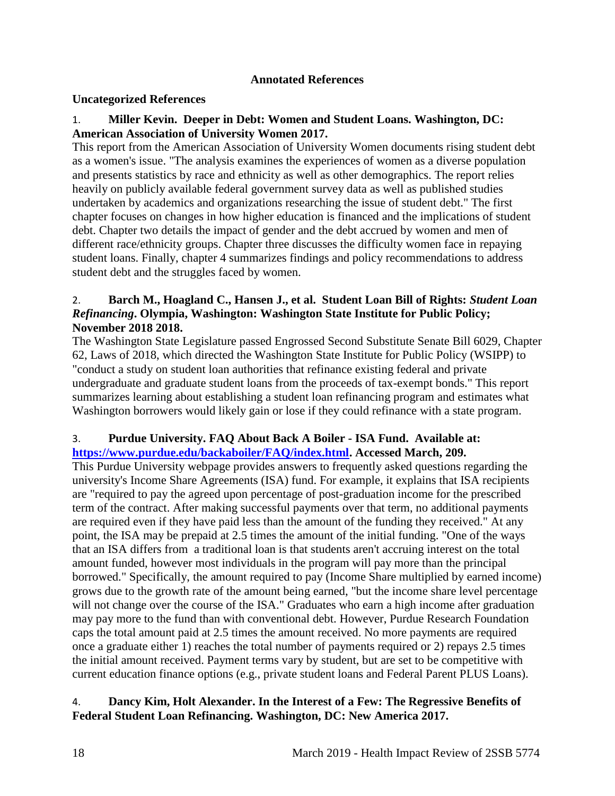#### **Annotated References**

#### **Uncategorized References**

#### 1. **Miller Kevin. Deeper in Debt: Women and Student Loans. Washington, DC: American Association of University Women 2017.**

This report from the American Association of University Women documents rising student debt as a women's issue. "The analysis examines the experiences of women as a diverse population and presents statistics by race and ethnicity as well as other demographics. The report relies heavily on publicly available federal government survey data as well as published studies undertaken by academics and organizations researching the issue of student debt." The first chapter focuses on changes in how higher education is financed and the implications of student debt. Chapter two details the impact of gender and the debt accrued by women and men of different race/ethnicity groups. Chapter three discusses the difficulty women face in repaying student loans. Finally, chapter 4 summarizes findings and policy recommendations to address student debt and the struggles faced by women.

#### <span id="page-21-0"></span>2. **Barch M., Hoagland C., Hansen J., et al. Student Loan Bill of Rights:** *Student Loan Refinancing***. Olympia, Washington: Washington State Institute for Public Policy; November 2018 2018.**

The Washington State Legislature passed Engrossed Second Substitute Senate Bill 6029, Chapter 62, Laws of 2018, which directed the Washington State Institute for Public Policy (WSIPP) to "conduct a study on student loan authorities that refinance existing federal and private undergraduate and graduate student loans from the proceeds of tax-exempt bonds." This report summarizes learning about establishing a student loan refinancing program and estimates what Washington borrowers would likely gain or lose if they could refinance with a state program.

#### 3. **Purdue University. FAQ About Back A Boiler - ISA Fund. Available at: [https://www.purdue.edu/backaboiler/FAQ/index.html.](https://www.purdue.edu/backaboiler/FAQ/index.html) Accessed March, 209.**

This Purdue University webpage provides answers to frequently asked questions regarding the university's Income Share Agreements (ISA) fund. For example, it explains that ISA recipients are "required to pay the agreed upon percentage of post-graduation income for the prescribed term of the contract. After making successful payments over that term, no additional payments are required even if they have paid less than the amount of the funding they received." At any point, the ISA may be prepaid at 2.5 times the amount of the initial funding. "One of the ways that an ISA differs from a traditional loan is that students aren't accruing interest on the total amount funded, however most individuals in the program will pay more than the principal borrowed." Specifically, the amount required to pay (Income Share multiplied by earned income) grows due to the growth rate of the amount being earned, "but the income share level percentage will not change over the course of the ISA." Graduates who earn a high income after graduation may pay more to the fund than with conventional debt. However, Purdue Research Foundation caps the total amount paid at 2.5 times the amount received. No more payments are required once a graduate either 1) reaches the total number of payments required or 2) repays 2.5 times the initial amount received. Payment terms vary by student, but are set to be competitive with current education finance options (e.g., private student loans and Federal Parent PLUS Loans).

#### <span id="page-21-1"></span>4. **Dancy Kim, Holt Alexander. In the Interest of a Few: The Regressive Benefits of Federal Student Loan Refinancing. Washington, DC: New America 2017.**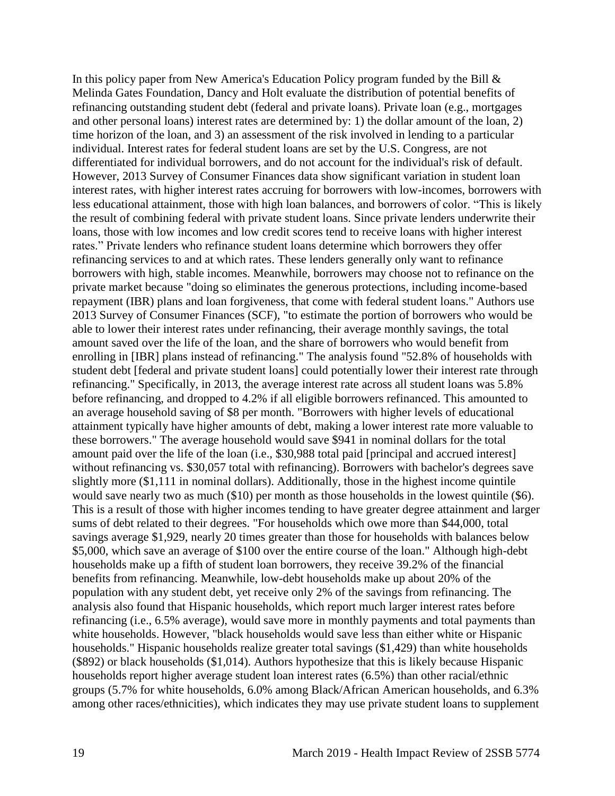In this policy paper from New America's Education Policy program funded by the Bill  $\&$ Melinda Gates Foundation, Dancy and Holt evaluate the distribution of potential benefits of refinancing outstanding student debt (federal and private loans). Private loan (e.g., mortgages and other personal loans) interest rates are determined by: 1) the dollar amount of the loan, 2) time horizon of the loan, and 3) an assessment of the risk involved in lending to a particular individual. Interest rates for federal student loans are set by the U.S. Congress, are not differentiated for individual borrowers, and do not account for the individual's risk of default. However, 2013 Survey of Consumer Finances data show significant variation in student loan interest rates, with higher interest rates accruing for borrowers with low-incomes, borrowers with less educational attainment, those with high loan balances, and borrowers of color. "This is likely the result of combining federal with private student loans. Since private lenders underwrite their loans, those with low incomes and low credit scores tend to receive loans with higher interest rates." Private lenders who refinance student loans determine which borrowers they offer refinancing services to and at which rates. These lenders generally only want to refinance borrowers with high, stable incomes. Meanwhile, borrowers may choose not to refinance on the private market because "doing so eliminates the generous protections, including income-based repayment (IBR) plans and loan forgiveness, that come with federal student loans." Authors use 2013 Survey of Consumer Finances (SCF), "to estimate the portion of borrowers who would be able to lower their interest rates under refinancing, their average monthly savings, the total amount saved over the life of the loan, and the share of borrowers who would benefit from enrolling in [IBR] plans instead of refinancing." The analysis found "52.8% of households with student debt [federal and private student loans] could potentially lower their interest rate through refinancing." Specifically, in 2013, the average interest rate across all student loans was 5.8% before refinancing, and dropped to 4.2% if all eligible borrowers refinanced. This amounted to an average household saving of \$8 per month. "Borrowers with higher levels of educational attainment typically have higher amounts of debt, making a lower interest rate more valuable to these borrowers." The average household would save \$941 in nominal dollars for the total amount paid over the life of the loan (i.e., \$30,988 total paid [principal and accrued interest] without refinancing vs. \$30,057 total with refinancing). Borrowers with bachelor's degrees save slightly more (\$1,111 in nominal dollars). Additionally, those in the highest income quintile would save nearly two as much (\$10) per month as those households in the lowest quintile (\$6). This is a result of those with higher incomes tending to have greater degree attainment and larger sums of debt related to their degrees. "For households which owe more than \$44,000, total savings average \$1,929, nearly 20 times greater than those for households with balances below \$5,000, which save an average of \$100 over the entire course of the loan." Although high-debt households make up a fifth of student loan borrowers, they receive 39.2% of the financial benefits from refinancing. Meanwhile, low-debt households make up about 20% of the population with any student debt, yet receive only 2% of the savings from refinancing. The analysis also found that Hispanic households, which report much larger interest rates before refinancing (i.e., 6.5% average), would save more in monthly payments and total payments than white households. However, "black households would save less than either white or Hispanic households." Hispanic households realize greater total savings (\$1,429) than white households (\$892) or black households (\$1,014). Authors hypothesize that this is likely because Hispanic households report higher average student loan interest rates (6.5%) than other racial/ethnic groups (5.7% for white households, 6.0% among Black/African American households, and 6.3% among other races/ethnicities), which indicates they may use private student loans to supplement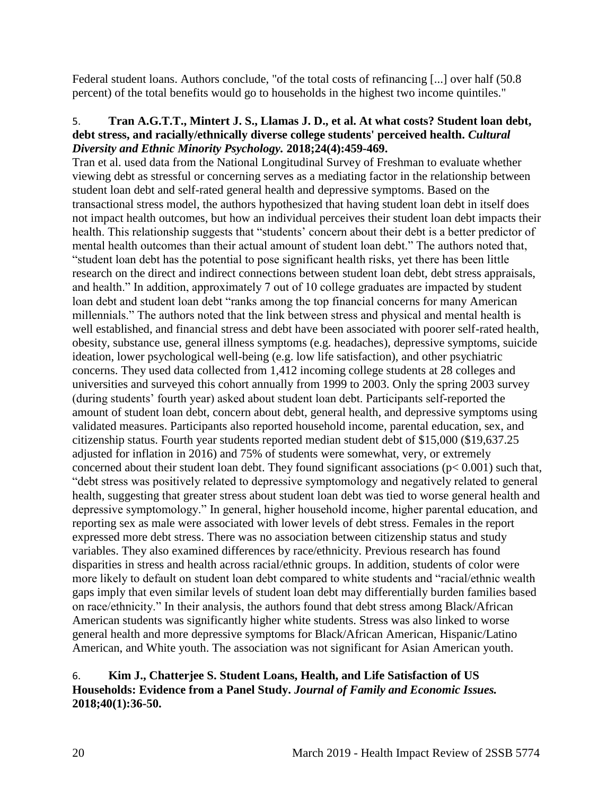Federal student loans. Authors conclude, "of the total costs of refinancing [...] over half (50.8 percent) of the total benefits would go to households in the highest two income quintiles."

#### <span id="page-23-0"></span>5. **Tran A.G.T.T., Mintert J. S., Llamas J. D., et al. At what costs? Student loan debt, debt stress, and racially/ethnically diverse college students' perceived health.** *Cultural Diversity and Ethnic Minority Psychology.* **2018;24(4):459-469.**

Tran et al. used data from the National Longitudinal Survey of Freshman to evaluate whether viewing debt as stressful or concerning serves as a mediating factor in the relationship between student loan debt and self-rated general health and depressive symptoms. Based on the transactional stress model, the authors hypothesized that having student loan debt in itself does not impact health outcomes, but how an individual perceives their student loan debt impacts their health. This relationship suggests that "students' concern about their debt is a better predictor of mental health outcomes than their actual amount of student loan debt." The authors noted that, "student loan debt has the potential to pose significant health risks, yet there has been little research on the direct and indirect connections between student loan debt, debt stress appraisals, and health." In addition, approximately 7 out of 10 college graduates are impacted by student loan debt and student loan debt "ranks among the top financial concerns for many American millennials." The authors noted that the link between stress and physical and mental health is well established, and financial stress and debt have been associated with poorer self-rated health, obesity, substance use, general illness symptoms (e.g. headaches), depressive symptoms, suicide ideation, lower psychological well-being (e.g. low life satisfaction), and other psychiatric concerns. They used data collected from 1,412 incoming college students at 28 colleges and universities and surveyed this cohort annually from 1999 to 2003. Only the spring 2003 survey (during students' fourth year) asked about student loan debt. Participants self-reported the amount of student loan debt, concern about debt, general health, and depressive symptoms using validated measures. Participants also reported household income, parental education, sex, and citizenship status. Fourth year students reported median student debt of \$15,000 (\$19,637.25 adjusted for inflation in 2016) and 75% of students were somewhat, very, or extremely concerned about their student loan debt. They found significant associations (p< 0.001) such that, "debt stress was positively related to depressive symptomology and negatively related to general health, suggesting that greater stress about student loan debt was tied to worse general health and depressive symptomology." In general, higher household income, higher parental education, and reporting sex as male were associated with lower levels of debt stress. Females in the report expressed more debt stress. There was no association between citizenship status and study variables. They also examined differences by race/ethnicity. Previous research has found disparities in stress and health across racial/ethnic groups. In addition, students of color were more likely to default on student loan debt compared to white students and "racial/ethnic wealth gaps imply that even similar levels of student loan debt may differentially burden families based on race/ethnicity." In their analysis, the authors found that debt stress among Black/African American students was significantly higher white students. Stress was also linked to worse general health and more depressive symptoms for Black/African American, Hispanic/Latino American, and White youth. The association was not significant for Asian American youth.

#### 6. **Kim J., Chatterjee S. Student Loans, Health, and Life Satisfaction of US Households: Evidence from a Panel Study.** *Journal of Family and Economic Issues.*  **2018;40(1):36-50.**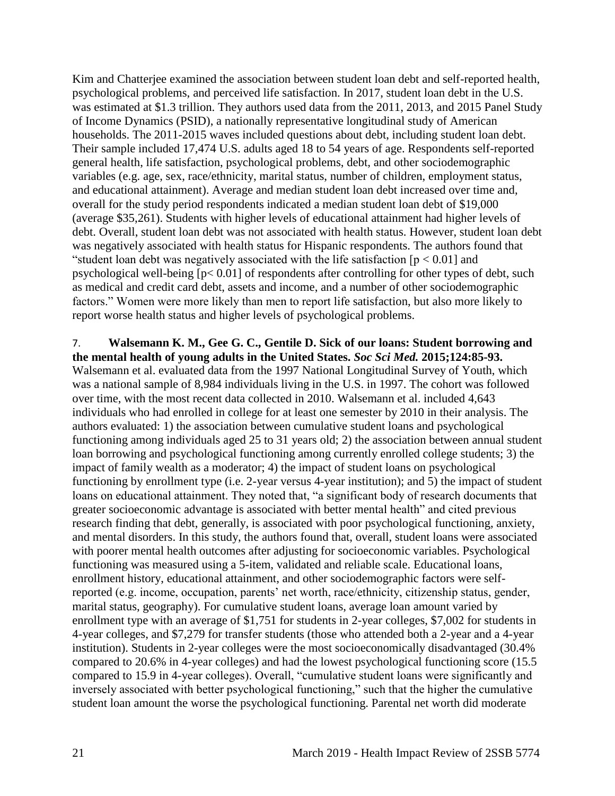Kim and Chatterjee examined the association between student loan debt and self-reported health, psychological problems, and perceived life satisfaction. In 2017, student loan debt in the U.S. was estimated at \$1.3 trillion. They authors used data from the 2011, 2013, and 2015 Panel Study of Income Dynamics (PSID), a nationally representative longitudinal study of American households. The 2011-2015 waves included questions about debt, including student loan debt. Their sample included 17,474 U.S. adults aged 18 to 54 years of age. Respondents self-reported general health, life satisfaction, psychological problems, debt, and other sociodemographic variables (e.g. age, sex, race/ethnicity, marital status, number of children, employment status, and educational attainment). Average and median student loan debt increased over time and, overall for the study period respondents indicated a median student loan debt of \$19,000 (average \$35,261). Students with higher levels of educational attainment had higher levels of debt. Overall, student loan debt was not associated with health status. However, student loan debt was negatively associated with health status for Hispanic respondents. The authors found that "student loan debt was negatively associated with the life satisfaction  $[p < 0.01]$  and psychological well-being [p< 0.01] of respondents after controlling for other types of debt, such as medical and credit card debt, assets and income, and a number of other sociodemographic factors." Women were more likely than men to report life satisfaction, but also more likely to report worse health status and higher levels of psychological problems.

<span id="page-24-0"></span>7. **Walsemann K. M., Gee G. C., Gentile D. Sick of our loans: Student borrowing and the mental health of young adults in the United States.** *Soc Sci Med.* **2015;124:85-93.** Walsemann et al. evaluated data from the 1997 National Longitudinal Survey of Youth, which was a national sample of 8,984 individuals living in the U.S. in 1997. The cohort was followed over time, with the most recent data collected in 2010. Walsemann et al. included 4,643 individuals who had enrolled in college for at least one semester by 2010 in their analysis. The authors evaluated: 1) the association between cumulative student loans and psychological functioning among individuals aged 25 to 31 years old; 2) the association between annual student loan borrowing and psychological functioning among currently enrolled college students; 3) the impact of family wealth as a moderator; 4) the impact of student loans on psychological functioning by enrollment type (i.e. 2-year versus 4-year institution); and 5) the impact of student loans on educational attainment. They noted that, "a significant body of research documents that greater socioeconomic advantage is associated with better mental health" and cited previous research finding that debt, generally, is associated with poor psychological functioning, anxiety, and mental disorders. In this study, the authors found that, overall, student loans were associated with poorer mental health outcomes after adjusting for socioeconomic variables. Psychological functioning was measured using a 5-item, validated and reliable scale. Educational loans, enrollment history, educational attainment, and other sociodemographic factors were selfreported (e.g. income, occupation, parents' net worth, race/ethnicity, citizenship status, gender, marital status, geography). For cumulative student loans, average loan amount varied by enrollment type with an average of \$1,751 for students in 2-year colleges, \$7,002 for students in 4-year colleges, and \$7,279 for transfer students (those who attended both a 2-year and a 4-year institution). Students in 2-year colleges were the most socioeconomically disadvantaged (30.4% compared to 20.6% in 4-year colleges) and had the lowest psychological functioning score (15.5 compared to 15.9 in 4-year colleges). Overall, "cumulative student loans were significantly and inversely associated with better psychological functioning," such that the higher the cumulative student loan amount the worse the psychological functioning. Parental net worth did moderate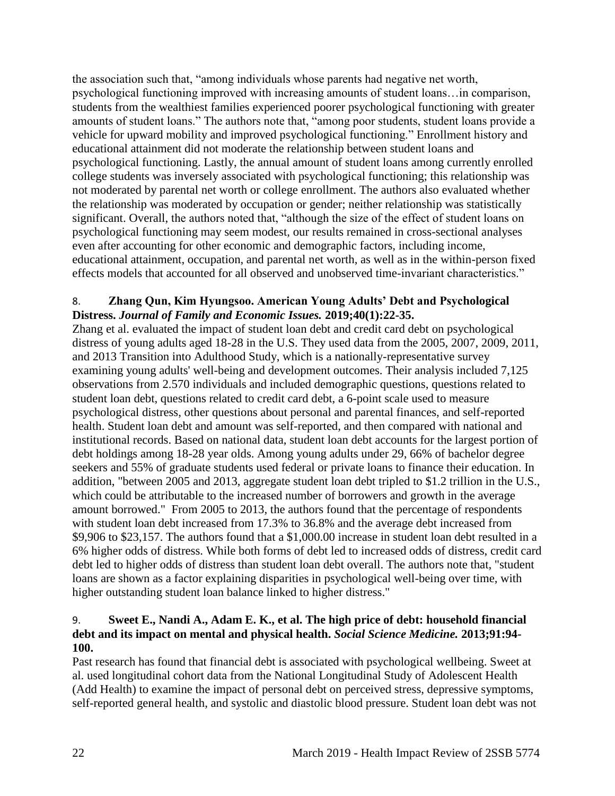the association such that, "among individuals whose parents had negative net worth, psychological functioning improved with increasing amounts of student loans…in comparison, students from the wealthiest families experienced poorer psychological functioning with greater amounts of student loans." The authors note that, "among poor students, student loans provide a vehicle for upward mobility and improved psychological functioning." Enrollment history and educational attainment did not moderate the relationship between student loans and psychological functioning. Lastly, the annual amount of student loans among currently enrolled college students was inversely associated with psychological functioning; this relationship was not moderated by parental net worth or college enrollment. The authors also evaluated whether the relationship was moderated by occupation or gender; neither relationship was statistically significant. Overall, the authors noted that, "although the size of the effect of student loans on psychological functioning may seem modest, our results remained in cross-sectional analyses even after accounting for other economic and demographic factors, including income, educational attainment, occupation, and parental net worth, as well as in the within-person fixed effects models that accounted for all observed and unobserved time-invariant characteristics."

#### 8. **Zhang Qun, Kim Hyungsoo. American Young Adults' Debt and Psychological Distress.** *Journal of Family and Economic Issues.* **2019;40(1):22-35.**

Zhang et al. evaluated the impact of student loan debt and credit card debt on psychological distress of young adults aged 18-28 in the U.S. They used data from the 2005, 2007, 2009, 2011, and 2013 Transition into Adulthood Study, which is a nationally-representative survey examining young adults' well-being and development outcomes. Their analysis included 7,125 observations from 2.570 individuals and included demographic questions, questions related to student loan debt, questions related to credit card debt, a 6-point scale used to measure psychological distress, other questions about personal and parental finances, and self-reported health. Student loan debt and amount was self-reported, and then compared with national and institutional records. Based on national data, student loan debt accounts for the largest portion of debt holdings among 18-28 year olds. Among young adults under 29, 66% of bachelor degree seekers and 55% of graduate students used federal or private loans to finance their education. In addition, "between 2005 and 2013, aggregate student loan debt tripled to \$1.2 trillion in the U.S., which could be attributable to the increased number of borrowers and growth in the average amount borrowed." From 2005 to 2013, the authors found that the percentage of respondents with student loan debt increased from 17.3% to 36.8% and the average debt increased from \$9,906 to \$23,157. The authors found that a \$1,000.00 increase in student loan debt resulted in a 6% higher odds of distress. While both forms of debt led to increased odds of distress, credit card debt led to higher odds of distress than student loan debt overall. The authors note that, "student loans are shown as a factor explaining disparities in psychological well-being over time, with higher outstanding student loan balance linked to higher distress."

#### <span id="page-25-0"></span>9. **Sweet E., Nandi A., Adam E. K., et al. The high price of debt: household financial debt and its impact on mental and physical health.** *Social Science Medicine.* **2013;91:94- 100.**

Past research has found that financial debt is associated with psychological wellbeing. Sweet at al. used longitudinal cohort data from the National Longitudinal Study of Adolescent Health (Add Health) to examine the impact of personal debt on perceived stress, depressive symptoms, self-reported general health, and systolic and diastolic blood pressure. Student loan debt was not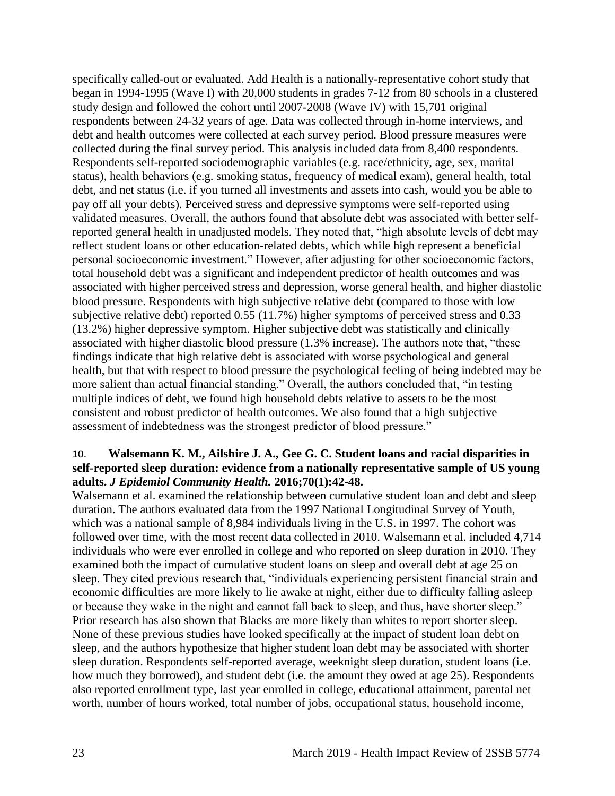specifically called-out or evaluated. Add Health is a nationally-representative cohort study that began in 1994-1995 (Wave I) with 20,000 students in grades 7-12 from 80 schools in a clustered study design and followed the cohort until 2007-2008 (Wave IV) with 15,701 original respondents between 24-32 years of age. Data was collected through in-home interviews, and debt and health outcomes were collected at each survey period. Blood pressure measures were collected during the final survey period. This analysis included data from 8,400 respondents. Respondents self-reported sociodemographic variables (e.g. race/ethnicity, age, sex, marital status), health behaviors (e.g. smoking status, frequency of medical exam), general health, total debt, and net status (i.e. if you turned all investments and assets into cash, would you be able to pay off all your debts). Perceived stress and depressive symptoms were self-reported using validated measures. Overall, the authors found that absolute debt was associated with better selfreported general health in unadjusted models. They noted that, "high absolute levels of debt may reflect student loans or other education-related debts, which while high represent a beneficial personal socioeconomic investment." However, after adjusting for other socioeconomic factors, total household debt was a significant and independent predictor of health outcomes and was associated with higher perceived stress and depression, worse general health, and higher diastolic blood pressure. Respondents with high subjective relative debt (compared to those with low subjective relative debt) reported 0.55 (11.7%) higher symptoms of perceived stress and 0.33 (13.2%) higher depressive symptom. Higher subjective debt was statistically and clinically associated with higher diastolic blood pressure (1.3% increase). The authors note that, "these findings indicate that high relative debt is associated with worse psychological and general health, but that with respect to blood pressure the psychological feeling of being indebted may be more salient than actual financial standing." Overall, the authors concluded that, "in testing multiple indices of debt, we found high household debts relative to assets to be the most consistent and robust predictor of health outcomes. We also found that a high subjective assessment of indebtedness was the strongest predictor of blood pressure."

#### <span id="page-26-0"></span>10. **Walsemann K. M., Ailshire J. A., Gee G. C. Student loans and racial disparities in self-reported sleep duration: evidence from a nationally representative sample of US young adults.** *J Epidemiol Community Health.* **2016;70(1):42-48.**

Walsemann et al. examined the relationship between cumulative student loan and debt and sleep duration. The authors evaluated data from the 1997 National Longitudinal Survey of Youth, which was a national sample of 8,984 individuals living in the U.S. in 1997. The cohort was followed over time, with the most recent data collected in 2010. Walsemann et al. included 4,714 individuals who were ever enrolled in college and who reported on sleep duration in 2010. They examined both the impact of cumulative student loans on sleep and overall debt at age 25 on sleep. They cited previous research that, "individuals experiencing persistent financial strain and economic difficulties are more likely to lie awake at night, either due to difficulty falling asleep or because they wake in the night and cannot fall back to sleep, and thus, have shorter sleep." Prior research has also shown that Blacks are more likely than whites to report shorter sleep. None of these previous studies have looked specifically at the impact of student loan debt on sleep, and the authors hypothesize that higher student loan debt may be associated with shorter sleep duration. Respondents self-reported average, weeknight sleep duration, student loans (i.e. how much they borrowed), and student debt (i.e. the amount they owed at age 25). Respondents also reported enrollment type, last year enrolled in college, educational attainment, parental net worth, number of hours worked, total number of jobs, occupational status, household income,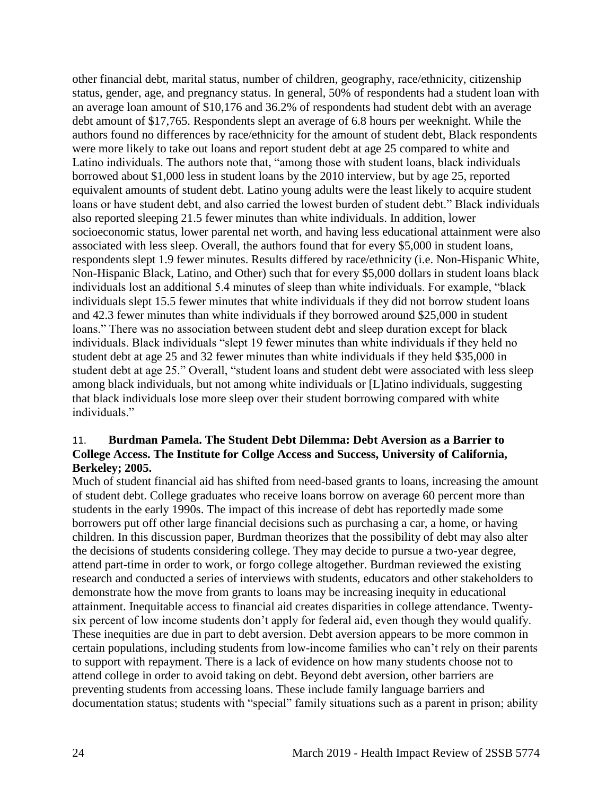other financial debt, marital status, number of children, geography, race/ethnicity, citizenship status, gender, age, and pregnancy status. In general, 50% of respondents had a student loan with an average loan amount of \$10,176 and 36.2% of respondents had student debt with an average debt amount of \$17,765. Respondents slept an average of 6.8 hours per weeknight. While the authors found no differences by race/ethnicity for the amount of student debt, Black respondents were more likely to take out loans and report student debt at age 25 compared to white and Latino individuals. The authors note that, "among those with student loans, black individuals borrowed about \$1,000 less in student loans by the 2010 interview, but by age 25, reported equivalent amounts of student debt. Latino young adults were the least likely to acquire student loans or have student debt, and also carried the lowest burden of student debt." Black individuals also reported sleeping 21.5 fewer minutes than white individuals. In addition, lower socioeconomic status, lower parental net worth, and having less educational attainment were also associated with less sleep. Overall, the authors found that for every \$5,000 in student loans, respondents slept 1.9 fewer minutes. Results differed by race/ethnicity (i.e. Non-Hispanic White, Non-Hispanic Black, Latino, and Other) such that for every \$5,000 dollars in student loans black individuals lost an additional 5.4 minutes of sleep than white individuals. For example, "black individuals slept 15.5 fewer minutes that white individuals if they did not borrow student loans and 42.3 fewer minutes than white individuals if they borrowed around \$25,000 in student loans." There was no association between student debt and sleep duration except for black individuals. Black individuals "slept 19 fewer minutes than white individuals if they held no student debt at age 25 and 32 fewer minutes than white individuals if they held \$35,000 in student debt at age 25." Overall, "student loans and student debt were associated with less sleep among black individuals, but not among white individuals or [L]atino individuals, suggesting that black individuals lose more sleep over their student borrowing compared with white individuals."

#### 11. **Burdman Pamela. The Student Debt Dilemma: Debt Aversion as a Barrier to College Access. The Institute for Collge Access and Success, University of California, Berkeley; 2005.**

Much of student financial aid has shifted from need-based grants to loans, increasing the amount of student debt. College graduates who receive loans borrow on average 60 percent more than students in the early 1990s. The impact of this increase of debt has reportedly made some borrowers put off other large financial decisions such as purchasing a car, a home, or having children. In this discussion paper, Burdman theorizes that the possibility of debt may also alter the decisions of students considering college. They may decide to pursue a two-year degree, attend part-time in order to work, or forgo college altogether. Burdman reviewed the existing research and conducted a series of interviews with students, educators and other stakeholders to demonstrate how the move from grants to loans may be increasing inequity in educational attainment. Inequitable access to financial aid creates disparities in college attendance. Twentysix percent of low income students don't apply for federal aid, even though they would qualify. These inequities are due in part to debt aversion. Debt aversion appears to be more common in certain populations, including students from low-income families who can't rely on their parents to support with repayment. There is a lack of evidence on how many students choose not to attend college in order to avoid taking on debt. Beyond debt aversion, other barriers are preventing students from accessing loans. These include family language barriers and documentation status; students with "special" family situations such as a parent in prison; ability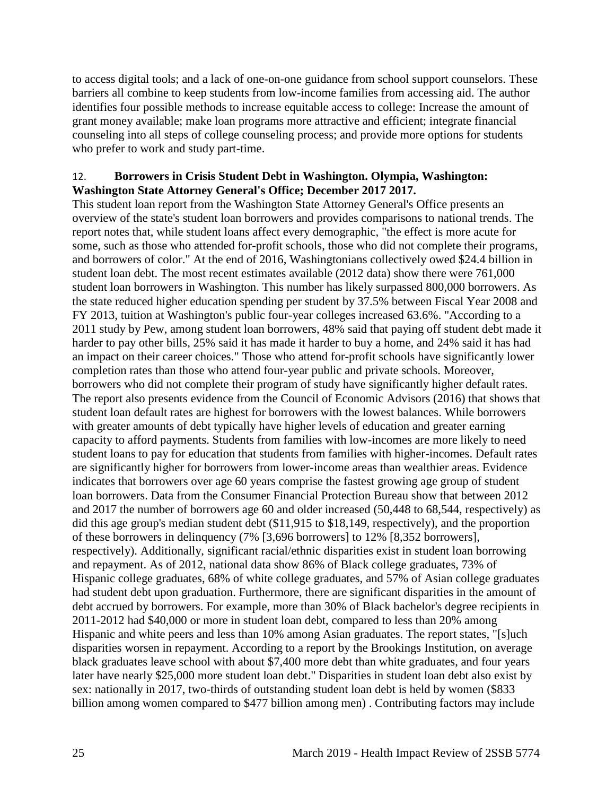to access digital tools; and a lack of one-on-one guidance from school support counselors. These barriers all combine to keep students from low-income families from accessing aid. The author identifies four possible methods to increase equitable access to college: Increase the amount of grant money available; make loan programs more attractive and efficient; integrate financial counseling into all steps of college counseling process; and provide more options for students who prefer to work and study part-time.

#### <span id="page-28-0"></span>12. **Borrowers in Crisis Student Debt in Washington. Olympia, Washington: Washington State Attorney General's Office; December 2017 2017.**

This student loan report from the Washington State Attorney General's Office presents an overview of the state's student loan borrowers and provides comparisons to national trends. The report notes that, while student loans affect every demographic, "the effect is more acute for some, such as those who attended for-profit schools, those who did not complete their programs, and borrowers of color." At the end of 2016, Washingtonians collectively owed \$24.4 billion in student loan debt. The most recent estimates available (2012 data) show there were 761,000 student loan borrowers in Washington. This number has likely surpassed 800,000 borrowers. As the state reduced higher education spending per student by 37.5% between Fiscal Year 2008 and FY 2013, tuition at Washington's public four-year colleges increased 63.6%. "According to a 2011 study by Pew, among student loan borrowers, 48% said that paying off student debt made it harder to pay other bills, 25% said it has made it harder to buy a home, and 24% said it has had an impact on their career choices." Those who attend for-profit schools have significantly lower completion rates than those who attend four-year public and private schools. Moreover, borrowers who did not complete their program of study have significantly higher default rates. The report also presents evidence from the Council of Economic Advisors (2016) that shows that student loan default rates are highest for borrowers with the lowest balances. While borrowers with greater amounts of debt typically have higher levels of education and greater earning capacity to afford payments. Students from families with low-incomes are more likely to need student loans to pay for education that students from families with higher-incomes. Default rates are significantly higher for borrowers from lower-income areas than wealthier areas. Evidence indicates that borrowers over age 60 years comprise the fastest growing age group of student loan borrowers. Data from the Consumer Financial Protection Bureau show that between 2012 and 2017 the number of borrowers age 60 and older increased (50,448 to 68,544, respectively) as did this age group's median student debt (\$11,915 to \$18,149, respectively), and the proportion of these borrowers in delinquency (7% [3,696 borrowers] to 12% [8,352 borrowers], respectively). Additionally, significant racial/ethnic disparities exist in student loan borrowing and repayment. As of 2012, national data show 86% of Black college graduates, 73% of Hispanic college graduates, 68% of white college graduates, and 57% of Asian college graduates had student debt upon graduation. Furthermore, there are significant disparities in the amount of debt accrued by borrowers. For example, more than 30% of Black bachelor's degree recipients in 2011-2012 had \$40,000 or more in student loan debt, compared to less than 20% among Hispanic and white peers and less than 10% among Asian graduates. The report states, "[s]uch disparities worsen in repayment. According to a report by the Brookings Institution, on average black graduates leave school with about \$7,400 more debt than white graduates, and four years later have nearly \$25,000 more student loan debt." Disparities in student loan debt also exist by sex: nationally in 2017, two-thirds of outstanding student loan debt is held by women (\$833 billion among women compared to \$477 billion among men) . Contributing factors may include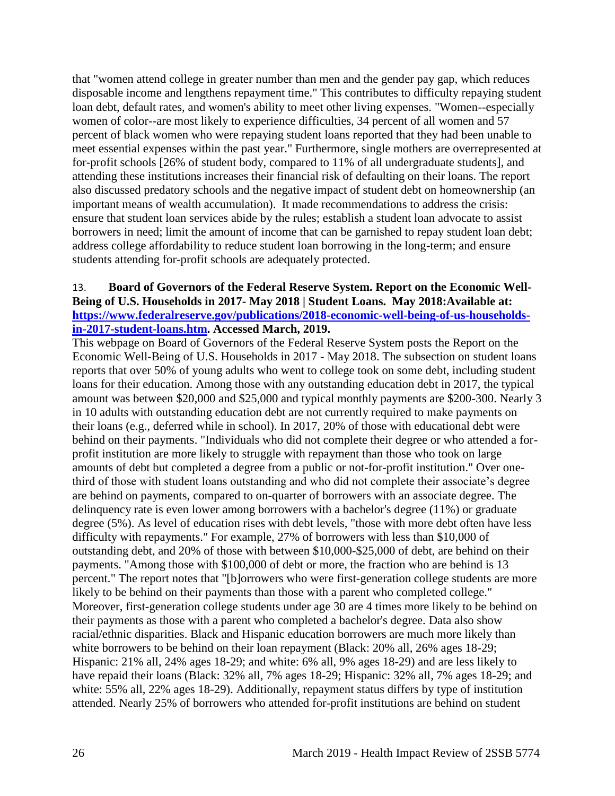that "women attend college in greater number than men and the gender pay gap, which reduces disposable income and lengthens repayment time." This contributes to difficulty repaying student loan debt, default rates, and women's ability to meet other living expenses. "Women--especially women of color--are most likely to experience difficulties, 34 percent of all women and 57 percent of black women who were repaying student loans reported that they had been unable to meet essential expenses within the past year." Furthermore, single mothers are overrepresented at for-profit schools [26% of student body, compared to 11% of all undergraduate students], and attending these institutions increases their financial risk of defaulting on their loans. The report also discussed predatory schools and the negative impact of student debt on homeownership (an important means of wealth accumulation). It made recommendations to address the crisis: ensure that student loan services abide by the rules; establish a student loan advocate to assist borrowers in need; limit the amount of income that can be garnished to repay student loan debt; address college affordability to reduce student loan borrowing in the long-term; and ensure students attending for-profit schools are adequately protected.

#### <span id="page-29-0"></span>13. **Board of Governors of the Federal Reserve System. Report on the Economic Well-Being of U.S. Households in 2017- May 2018 | Student Loans. May 2018:Available at: [https://www.federalreserve.gov/publications/2018-economic-well-being-of-us-households](https://www.federalreserve.gov/publications/2018-economic-well-being-of-us-households-in-2017-student-loans.htm)[in-2017-student-loans.htm.](https://www.federalreserve.gov/publications/2018-economic-well-being-of-us-households-in-2017-student-loans.htm) Accessed March, 2019.**

This webpage on Board of Governors of the Federal Reserve System posts the Report on the Economic Well-Being of U.S. Households in 2017 - May 2018. The subsection on student loans reports that over 50% of young adults who went to college took on some debt, including student loans for their education. Among those with any outstanding education debt in 2017, the typical amount was between \$20,000 and \$25,000 and typical monthly payments are \$200-300. Nearly 3 in 10 adults with outstanding education debt are not currently required to make payments on their loans (e.g., deferred while in school). In 2017, 20% of those with educational debt were behind on their payments. "Individuals who did not complete their degree or who attended a forprofit institution are more likely to struggle with repayment than those who took on large amounts of debt but completed a degree from a public or not-for-profit institution." Over onethird of those with student loans outstanding and who did not complete their associate's degree are behind on payments, compared to on-quarter of borrowers with an associate degree. The delinquency rate is even lower among borrowers with a bachelor's degree (11%) or graduate degree (5%). As level of education rises with debt levels, "those with more debt often have less difficulty with repayments." For example, 27% of borrowers with less than \$10,000 of outstanding debt, and 20% of those with between \$10,000-\$25,000 of debt, are behind on their payments. "Among those with \$100,000 of debt or more, the fraction who are behind is 13 percent." The report notes that "[b]orrowers who were first-generation college students are more likely to be behind on their payments than those with a parent who completed college." Moreover, first-generation college students under age 30 are 4 times more likely to be behind on their payments as those with a parent who completed a bachelor's degree. Data also show racial/ethnic disparities. Black and Hispanic education borrowers are much more likely than white borrowers to be behind on their loan repayment (Black: 20% all, 26% ages 18-29; Hispanic: 21% all, 24% ages 18-29; and white: 6% all, 9% ages 18-29) and are less likely to have repaid their loans (Black: 32% all, 7% ages 18-29; Hispanic: 32% all, 7% ages 18-29; and white: 55% all, 22% ages 18-29). Additionally, repayment status differs by type of institution attended. Nearly 25% of borrowers who attended for-profit institutions are behind on student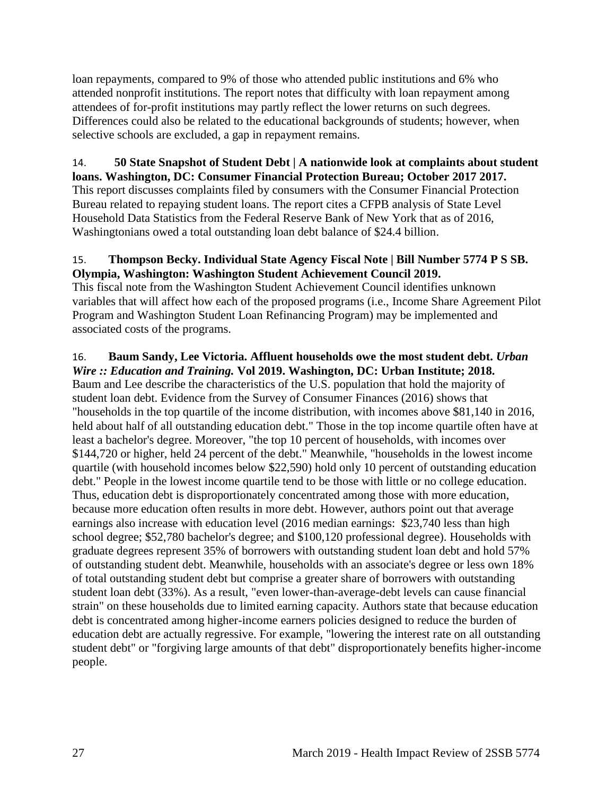loan repayments, compared to 9% of those who attended public institutions and 6% who attended nonprofit institutions. The report notes that difficulty with loan repayment among attendees of for-profit institutions may partly reflect the lower returns on such degrees. Differences could also be related to the educational backgrounds of students; however, when selective schools are excluded, a gap in repayment remains.

#### 14. **50 State Snapshot of Student Debt | A nationwide look at complaints about student loans. Washington, DC: Consumer Financial Protection Bureau; October 2017 2017.**

This report discusses complaints filed by consumers with the Consumer Financial Protection Bureau related to repaying student loans. The report cites a CFPB analysis of State Level Household Data Statistics from the Federal Reserve Bank of New York that as of 2016, Washingtonians owed a total outstanding loan debt balance of \$24.4 billion.

#### 15. **Thompson Becky. Individual State Agency Fiscal Note | Bill Number 5774 P S SB. Olympia, Washington: Washington Student Achievement Council 2019.**

This fiscal note from the Washington Student Achievement Council identifies unknown variables that will affect how each of the proposed programs (i.e., Income Share Agreement Pilot Program and Washington Student Loan Refinancing Program) may be implemented and associated costs of the programs.

## <span id="page-30-0"></span>16. **Baum Sandy, Lee Victoria. Affluent households owe the most student debt.** *Urban*

*Wire :: Education and Training.* **Vol 2019. Washington, DC: Urban Institute; 2018.** Baum and Lee describe the characteristics of the U.S. population that hold the majority of student loan debt. Evidence from the Survey of Consumer Finances (2016) shows that "households in the top quartile of the income distribution, with incomes above \$81,140 in 2016, held about half of all outstanding education debt." Those in the top income quartile often have at least a bachelor's degree. Moreover, "the top 10 percent of households, with incomes over \$144,720 or higher, held 24 percent of the debt." Meanwhile, "households in the lowest income quartile (with household incomes below \$22,590) hold only 10 percent of outstanding education debt." People in the lowest income quartile tend to be those with little or no college education. Thus, education debt is disproportionately concentrated among those with more education, because more education often results in more debt. However, authors point out that average earnings also increase with education level (2016 median earnings: \$23,740 less than high school degree; \$52,780 bachelor's degree; and \$100,120 professional degree). Households with graduate degrees represent 35% of borrowers with outstanding student loan debt and hold 57% of outstanding student debt. Meanwhile, households with an associate's degree or less own 18% of total outstanding student debt but comprise a greater share of borrowers with outstanding student loan debt (33%). As a result, "even lower-than-average-debt levels can cause financial strain" on these households due to limited earning capacity. Authors state that because education debt is concentrated among higher-income earners policies designed to reduce the burden of education debt are actually regressive. For example, "lowering the interest rate on all outstanding student debt" or "forgiving large amounts of that debt" disproportionately benefits higher-income people.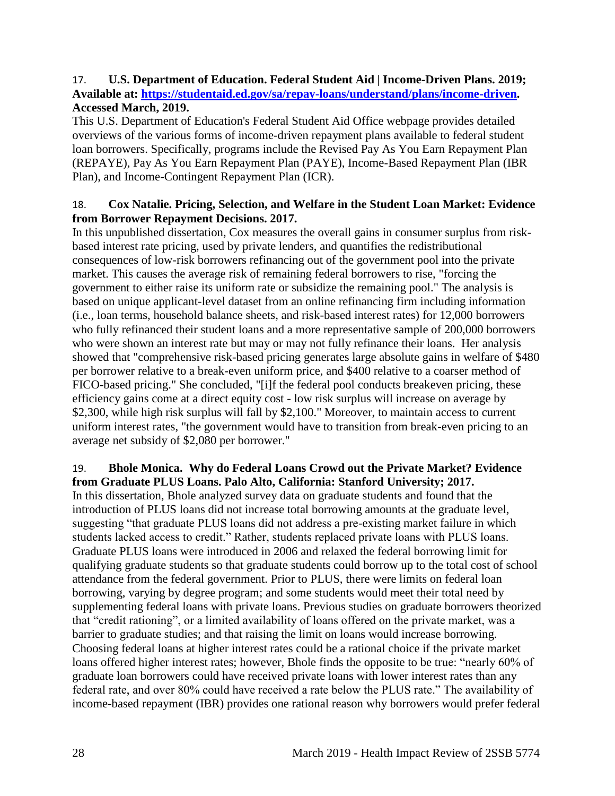#### 17. **U.S. Department of Education. Federal Student Aid | Income-Driven Plans. 2019; Available at: [https://studentaid.ed.gov/sa/repay-loans/understand/plans/income-driven.](https://studentaid.ed.gov/sa/repay-loans/understand/plans/income-driven) Accessed March, 2019.**

This U.S. Department of Education's Federal Student Aid Office webpage provides detailed overviews of the various forms of income-driven repayment plans available to federal student loan borrowers. Specifically, programs include the Revised Pay As You Earn Repayment Plan (REPAYE), Pay As You Earn Repayment Plan (PAYE), Income-Based Repayment Plan (IBR Plan), and Income-Contingent Repayment Plan (ICR).

#### 18. **Cox Natalie. Pricing, Selection, and Welfare in the Student Loan Market: Evidence from Borrower Repayment Decisions. 2017.**

In this unpublished dissertation, Cox measures the overall gains in consumer surplus from riskbased interest rate pricing, used by private lenders, and quantifies the redistributional consequences of low-risk borrowers refinancing out of the government pool into the private market. This causes the average risk of remaining federal borrowers to rise, "forcing the government to either raise its uniform rate or subsidize the remaining pool." The analysis is based on unique applicant-level dataset from an online refinancing firm including information (i.e., loan terms, household balance sheets, and risk-based interest rates) for 12,000 borrowers who fully refinanced their student loans and a more representative sample of 200,000 borrowers who were shown an interest rate but may or may not fully refinance their loans. Her analysis showed that "comprehensive risk-based pricing generates large absolute gains in welfare of \$480 per borrower relative to a break-even uniform price, and \$400 relative to a coarser method of FICO-based pricing." She concluded, "[i]f the federal pool conducts breakeven pricing, these efficiency gains come at a direct equity cost - low risk surplus will increase on average by \$2,300, while high risk surplus will fall by \$2,100." Moreover, to maintain access to current uniform interest rates, "the government would have to transition from break-even pricing to an average net subsidy of \$2,080 per borrower."

#### 19. **Bhole Monica. Why do Federal Loans Crowd out the Private Market? Evidence from Graduate PLUS Loans. Palo Alto, California: Stanford University; 2017.**

In this dissertation, Bhole analyzed survey data on graduate students and found that the introduction of PLUS loans did not increase total borrowing amounts at the graduate level, suggesting "that graduate PLUS loans did not address a pre-existing market failure in which students lacked access to credit." Rather, students replaced private loans with PLUS loans. Graduate PLUS loans were introduced in 2006 and relaxed the federal borrowing limit for qualifying graduate students so that graduate students could borrow up to the total cost of school attendance from the federal government. Prior to PLUS, there were limits on federal loan borrowing, varying by degree program; and some students would meet their total need by supplementing federal loans with private loans. Previous studies on graduate borrowers theorized that "credit rationing", or a limited availability of loans offered on the private market, was a barrier to graduate studies; and that raising the limit on loans would increase borrowing. Choosing federal loans at higher interest rates could be a rational choice if the private market loans offered higher interest rates; however, Bhole finds the opposite to be true: "nearly 60% of graduate loan borrowers could have received private loans with lower interest rates than any federal rate, and over 80% could have received a rate below the PLUS rate." The availability of income-based repayment (IBR) provides one rational reason why borrowers would prefer federal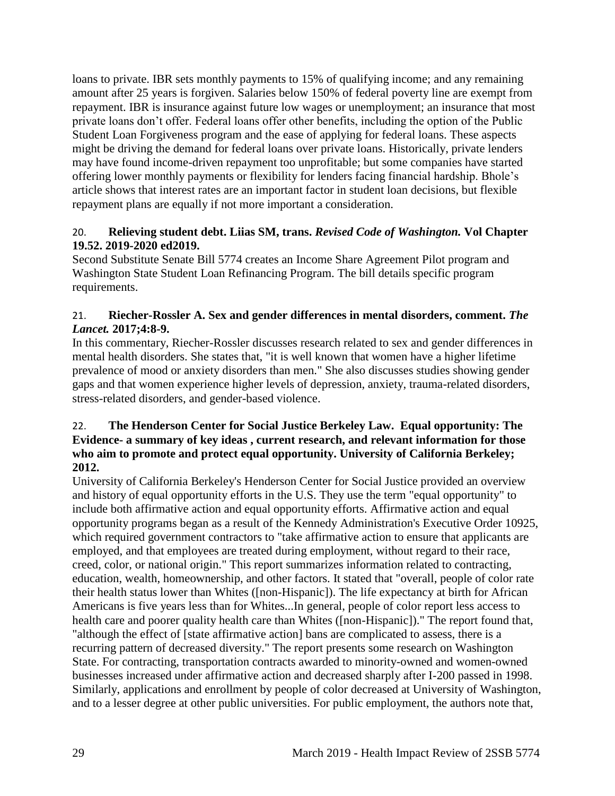loans to private. IBR sets monthly payments to 15% of qualifying income; and any remaining amount after 25 years is forgiven. Salaries below 150% of federal poverty line are exempt from repayment. IBR is insurance against future low wages or unemployment; an insurance that most private loans don't offer. Federal loans offer other benefits, including the option of the Public Student Loan Forgiveness program and the ease of applying for federal loans. These aspects might be driving the demand for federal loans over private loans. Historically, private lenders may have found income-driven repayment too unprofitable; but some companies have started offering lower monthly payments or flexibility for lenders facing financial hardship. Bhole's article shows that interest rates are an important factor in student loan decisions, but flexible repayment plans are equally if not more important a consideration.

#### 20. **Relieving student debt. Liias SM, trans.** *Revised Code of Washington.* **Vol Chapter 19.52. 2019-2020 ed2019.**

Second Substitute Senate Bill 5774 creates an Income Share Agreement Pilot program and Washington State Student Loan Refinancing Program. The bill details specific program requirements.

#### 21. **Riecher-Rossler A. Sex and gender differences in mental disorders, comment.** *The Lancet.* **2017;4:8-9.**

In this commentary, Riecher-Rossler discusses research related to sex and gender differences in mental health disorders. She states that, "it is well known that women have a higher lifetime prevalence of mood or anxiety disorders than men." She also discusses studies showing gender gaps and that women experience higher levels of depression, anxiety, trauma-related disorders, stress-related disorders, and gender-based violence.

#### 22. **The Henderson Center for Social Justice Berkeley Law. Equal opportunity: The Evidence- a summary of key ideas , current research, and relevant information for those who aim to promote and protect equal opportunity. University of California Berkeley; 2012.**

University of California Berkeley's Henderson Center for Social Justice provided an overview and history of equal opportunity efforts in the U.S. They use the term "equal opportunity" to include both affirmative action and equal opportunity efforts. Affirmative action and equal opportunity programs began as a result of the Kennedy Administration's Executive Order 10925, which required government contractors to "take affirmative action to ensure that applicants are employed, and that employees are treated during employment, without regard to their race, creed, color, or national origin." This report summarizes information related to contracting, education, wealth, homeownership, and other factors. It stated that "overall, people of color rate their health status lower than Whites ([non-Hispanic]). The life expectancy at birth for African Americans is five years less than for Whites...In general, people of color report less access to health care and poorer quality health care than Whites ([non-Hispanic])." The report found that, "although the effect of [state affirmative action] bans are complicated to assess, there is a recurring pattern of decreased diversity." The report presents some research on Washington State. For contracting, transportation contracts awarded to minority-owned and women-owned businesses increased under affirmative action and decreased sharply after I-200 passed in 1998. Similarly, applications and enrollment by people of color decreased at University of Washington, and to a lesser degree at other public universities. For public employment, the authors note that,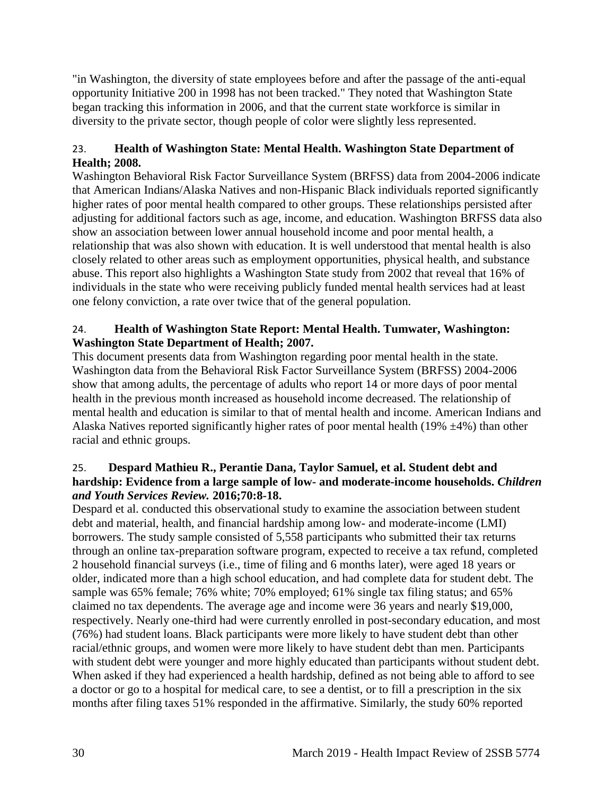"in Washington, the diversity of state employees before and after the passage of the anti-equal opportunity Initiative 200 in 1998 has not been tracked." They noted that Washington State began tracking this information in 2006, and that the current state workforce is similar in diversity to the private sector, though people of color were slightly less represented.

#### 23. **Health of Washington State: Mental Health. Washington State Department of Health; 2008.**

Washington Behavioral Risk Factor Surveillance System (BRFSS) data from 2004-2006 indicate that American Indians/Alaska Natives and non-Hispanic Black individuals reported significantly higher rates of poor mental health compared to other groups. These relationships persisted after adjusting for additional factors such as age, income, and education. Washington BRFSS data also show an association between lower annual household income and poor mental health, a relationship that was also shown with education. It is well understood that mental health is also closely related to other areas such as employment opportunities, physical health, and substance abuse. This report also highlights a Washington State study from 2002 that reveal that 16% of individuals in the state who were receiving publicly funded mental health services had at least one felony conviction, a rate over twice that of the general population.

#### 24. **Health of Washington State Report: Mental Health. Tumwater, Washington: Washington State Department of Health; 2007.**

This document presents data from Washington regarding poor mental health in the state. Washington data from the Behavioral Risk Factor Surveillance System (BRFSS) 2004-2006 show that among adults, the percentage of adults who report 14 or more days of poor mental health in the previous month increased as household income decreased. The relationship of mental health and education is similar to that of mental health and income. American Indians and Alaska Natives reported significantly higher rates of poor mental health (19%  $\pm$ 4%) than other racial and ethnic groups.

#### 25. **Despard Mathieu R., Perantie Dana, Taylor Samuel, et al. Student debt and hardship: Evidence from a large sample of low- and moderate-income households.** *Children and Youth Services Review.* **2016;70:8-18.**

Despard et al. conducted this observational study to examine the association between student debt and material, health, and financial hardship among low- and moderate-income (LMI) borrowers. The study sample consisted of 5,558 participants who submitted their tax returns through an online tax-preparation software program, expected to receive a tax refund, completed 2 household financial surveys (i.e., time of filing and 6 months later), were aged 18 years or older, indicated more than a high school education, and had complete data for student debt. The sample was 65% female; 76% white; 70% employed; 61% single tax filing status; and 65% claimed no tax dependents. The average age and income were 36 years and nearly \$19,000, respectively. Nearly one-third had were currently enrolled in post-secondary education, and most (76%) had student loans. Black participants were more likely to have student debt than other racial/ethnic groups, and women were more likely to have student debt than men. Participants with student debt were younger and more highly educated than participants without student debt. When asked if they had experienced a health hardship, defined as not being able to afford to see a doctor or go to a hospital for medical care, to see a dentist, or to fill a prescription in the six months after filing taxes 51% responded in the affirmative. Similarly, the study 60% reported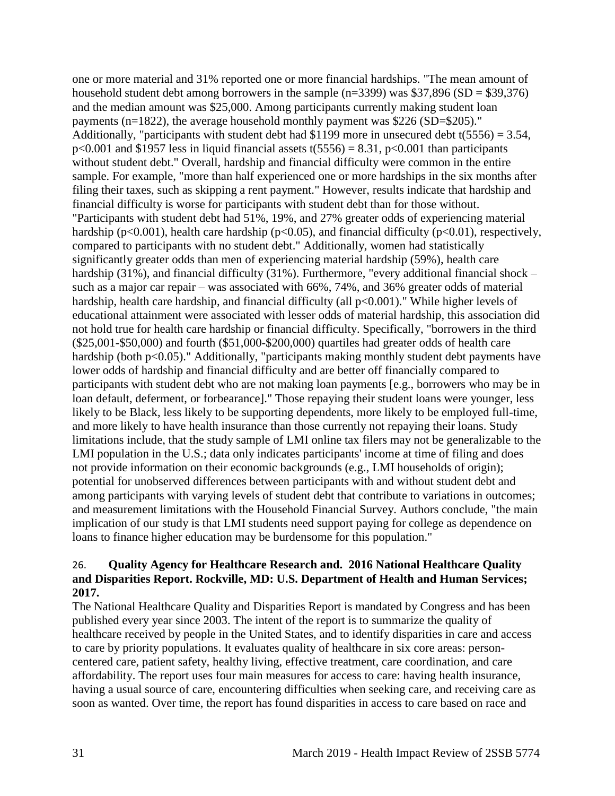one or more material and 31% reported one or more financial hardships. "The mean amount of household student debt among borrowers in the sample  $(n=3399)$  was \$37,896 (SD = \$39,376) and the median amount was \$25,000. Among participants currently making student loan payments (n=1822), the average household monthly payment was \$226 (SD=\$205)." Additionally, "participants with student debt had \$1199 more in unsecured debt t(5556) = 3.54,  $p<0.001$  and \$1957 less in liquid financial assets t(5556) = 8.31,  $p<0.001$  than participants without student debt." Overall, hardship and financial difficulty were common in the entire sample. For example, "more than half experienced one or more hardships in the six months after filing their taxes, such as skipping a rent payment." However, results indicate that hardship and financial difficulty is worse for participants with student debt than for those without. "Participants with student debt had 51%, 19%, and 27% greater odds of experiencing material hardship ( $p<0.001$ ), health care hardship ( $p<0.05$ ), and financial difficulty ( $p<0.01$ ), respectively, compared to participants with no student debt." Additionally, women had statistically significantly greater odds than men of experiencing material hardship (59%), health care hardship (31%), and financial difficulty (31%). Furthermore, "every additional financial shock – such as a major car repair – was associated with 66%, 74%, and 36% greater odds of material hardship, health care hardship, and financial difficulty (all  $p<0.001$ )." While higher levels of educational attainment were associated with lesser odds of material hardship, this association did not hold true for health care hardship or financial difficulty. Specifically, "borrowers in the third (\$25,001-\$50,000) and fourth (\$51,000-\$200,000) quartiles had greater odds of health care hardship (both p<0.05)." Additionally, "participants making monthly student debt payments have lower odds of hardship and financial difficulty and are better off financially compared to participants with student debt who are not making loan payments [e.g., borrowers who may be in loan default, deferment, or forbearance]." Those repaying their student loans were younger, less likely to be Black, less likely to be supporting dependents, more likely to be employed full-time, and more likely to have health insurance than those currently not repaying their loans. Study limitations include, that the study sample of LMI online tax filers may not be generalizable to the LMI population in the U.S.; data only indicates participants' income at time of filing and does not provide information on their economic backgrounds (e.g., LMI households of origin); potential for unobserved differences between participants with and without student debt and among participants with varying levels of student debt that contribute to variations in outcomes; and measurement limitations with the Household Financial Survey. Authors conclude, "the main implication of our study is that LMI students need support paying for college as dependence on loans to finance higher education may be burdensome for this population."

#### 26. **Quality Agency for Healthcare Research and. 2016 National Healthcare Quality and Disparities Report. Rockville, MD: U.S. Department of Health and Human Services; 2017.**

The National Healthcare Quality and Disparities Report is mandated by Congress and has been published every year since 2003. The intent of the report is to summarize the quality of healthcare received by people in the United States, and to identify disparities in care and access to care by priority populations. It evaluates quality of healthcare in six core areas: personcentered care, patient safety, healthy living, effective treatment, care coordination, and care affordability. The report uses four main measures for access to care: having health insurance, having a usual source of care, encountering difficulties when seeking care, and receiving care as soon as wanted. Over time, the report has found disparities in access to care based on race and